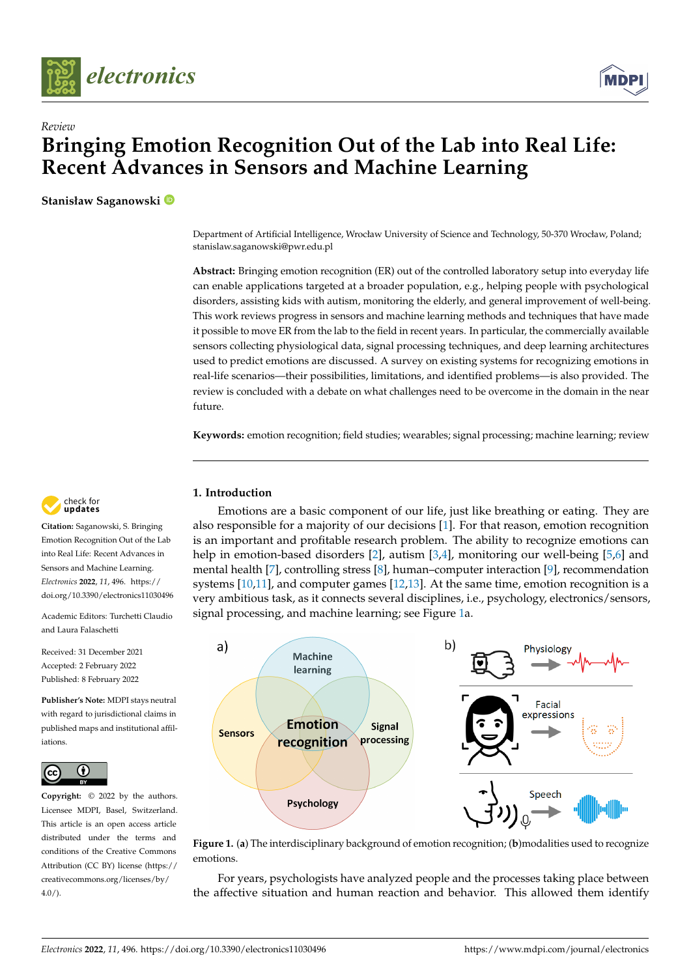



# *Review* **Bringing Emotion Recognition Out of the Lab into Real Life: Recent Advances in Sensors and Machine Learning**

**Stanisław Saganowski**

Department of Artificial Intelligence, Wrocław University of Science and Technology, 50-370 Wrocław, Poland; stanislaw.saganowski@pwr.edu.pl

**Abstract:** Bringing emotion recognition (ER) out of the controlled laboratory setup into everyday life can enable applications targeted at a broader population, e.g., helping people with psychological disorders, assisting kids with autism, monitoring the elderly, and general improvement of well-being. This work reviews progress in sensors and machine learning methods and techniques that have made it possible to move ER from the lab to the field in recent years. In particular, the commercially available sensors collecting physiological data, signal processing techniques, and deep learning architectures used to predict emotions are discussed. A survey on existing systems for recognizing emotions in real-life scenarios—their possibilities, limitations, and identified problems—is also provided. The review is concluded with a debate on what challenges need to be overcome in the domain in the near future.

**Keywords:** emotion recognition; field studies; wearables; signal processing; machine learning; review

# **1. Introduction**

Emotions are a basic component of our life, just like breathing or eating. They are also responsible for a majority of our decisions [\[1\]](#page-14-0). For that reason, emotion recognition is an important and profitable research problem. The ability to recognize emotions can help in emotion-based disorders [\[2\]](#page-14-1), autism [\[3,](#page-14-2)[4\]](#page-14-3), monitoring our well-being [\[5](#page-14-4)[,6\]](#page-14-5) and mental health [\[7\]](#page-14-6), controlling stress [\[8\]](#page-14-7), human–computer interaction [\[9\]](#page-14-8), recommendation systems [\[10](#page-14-9)[,11\]](#page-14-10), and computer games [\[12,](#page-14-11)[13\]](#page-14-12). At the same time, emotion recognition is a very ambitious task, as it connects several disciplines, i.e., psychology, electronics/sensors, signal processing, and machine learning; see Figure [1a](#page-0-0).

<span id="page-0-0"></span>

**Figure 1.** (**a**) The interdisciplinary background of emotion recognition; (**b**)modalities used to recognize emotions.

For years, psychologists have analyzed people and the processes taking place between the affective situation and human reaction and behavior. This allowed them identify



**Citation:** Saganowski, S. Bringing Emotion Recognition Out of the Lab into Real Life: Recent Advances in Sensors and Machine Learning. *Electronics* **2022**, *11*, 496. [https://](https://doi.org/10.3390/electronics11030496) [doi.org/10.3390/electronics11030496](https://doi.org/10.3390/electronics11030496)

Academic Editors: Turchetti Claudio and Laura Falaschetti

Received: 31 December 2021 Accepted: 2 February 2022 Published: 8 February 2022

**Publisher's Note:** MDPI stays neutral with regard to jurisdictional claims in published maps and institutional affiliations.



**Copyright:** © 2022 by the authors. Licensee MDPI, Basel, Switzerland. This article is an open access article distributed under the terms and conditions of the Creative Commons Attribution (CC BY) license [\(https://](https://creativecommons.org/licenses/by/4.0/) [creativecommons.org/licenses/by/](https://creativecommons.org/licenses/by/4.0/)  $4.0/$ ).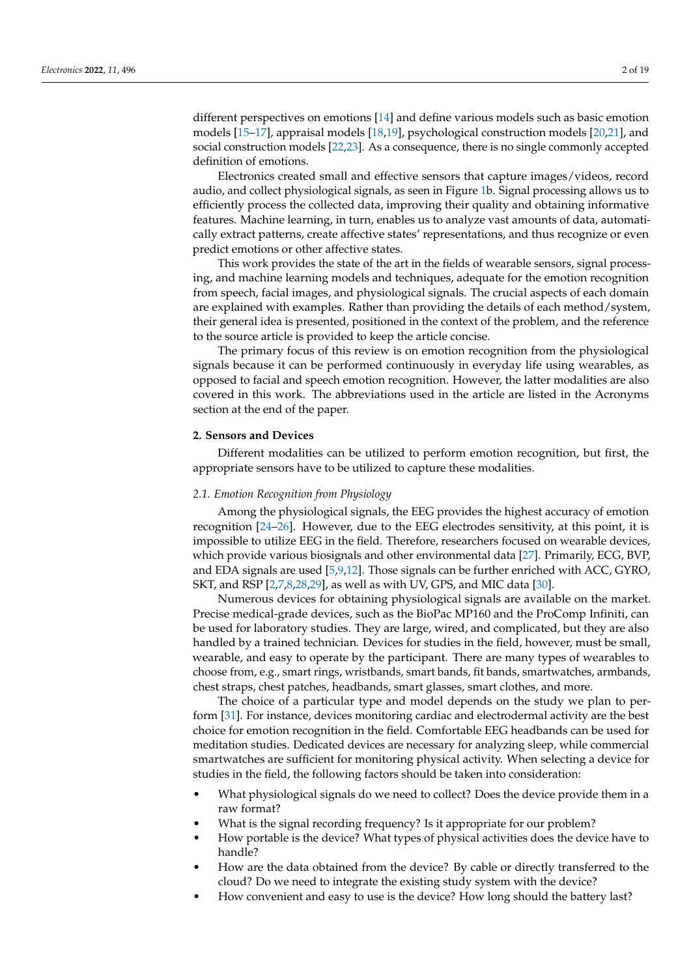different perspectives on emotions [\[14\]](#page-14-13) and define various models such as basic emotion models [\[15–](#page-15-0)[17\]](#page-15-1), appraisal models [\[18](#page-15-2)[,19\]](#page-15-3), psychological construction models [\[20](#page-15-4)[,21\]](#page-15-5), and social construction models [\[22,](#page-15-6)[23\]](#page-15-7). As a consequence, there is no single commonly accepted definition of emotions.

Electronics created small and effective sensors that capture images/videos, record audio, and collect physiological signals, as seen in Figure [1b](#page-0-0). Signal processing allows us to efficiently process the collected data, improving their quality and obtaining informative features. Machine learning, in turn, enables us to analyze vast amounts of data, automatically extract patterns, create affective states' representations, and thus recognize or even predict emotions or other affective states.

This work provides the state of the art in the fields of wearable sensors, signal processing, and machine learning models and techniques, adequate for the emotion recognition from speech, facial images, and physiological signals. The crucial aspects of each domain are explained with examples. Rather than providing the details of each method/system, their general idea is presented, positioned in the context of the problem, and the reference to the source article is provided to keep the article concise.

The primary focus of this review is on emotion recognition from the physiological signals because it can be performed continuously in everyday life using wearables, as opposed to facial and speech emotion recognition. However, the latter modalities are also covered in this work. The abbreviations used in the article are listed in the Acronyms section at the end of the paper.

# **2. Sensors and Devices**

Different modalities can be utilized to perform emotion recognition, but first, the appropriate sensors have to be utilized to capture these modalities.

#### *2.1. Emotion Recognition from Physiology*

Among the physiological signals, the EEG provides the highest accuracy of emotion recognition [\[24](#page-15-8)[–26\]](#page-15-9). However, due to the EEG electrodes sensitivity, at this point, it is impossible to utilize EEG in the field. Therefore, researchers focused on wearable devices, which provide various biosignals and other environmental data [\[27\]](#page-15-10). Primarily, ECG, BVP, and EDA signals are used [\[5,](#page-14-4)[9,](#page-14-8)[12\]](#page-14-11). Those signals can be further enriched with ACC, GYRO, SKT, and RSP [\[2](#page-14-1)[,7,](#page-14-6)[8,](#page-14-7)[28,](#page-15-11)[29\]](#page-15-12), as well as with UV, GPS, and MIC data [\[30\]](#page-15-13).

Numerous devices for obtaining physiological signals are available on the market. Precise medical-grade devices, such as the BioPac MP160 and the ProComp Infiniti, can be used for laboratory studies. They are large, wired, and complicated, but they are also handled by a trained technician. Devices for studies in the field, however, must be small, wearable, and easy to operate by the participant. There are many types of wearables to choose from, e.g., smart rings, wristbands, smart bands, fit bands, smartwatches, armbands, chest straps, chest patches, headbands, smart glasses, smart clothes, and more.

The choice of a particular type and model depends on the study we plan to perform [\[31\]](#page-15-14). For instance, devices monitoring cardiac and electrodermal activity are the best choice for emotion recognition in the field. Comfortable EEG headbands can be used for meditation studies. Dedicated devices are necessary for analyzing sleep, while commercial smartwatches are sufficient for monitoring physical activity. When selecting a device for studies in the field, the following factors should be taken into consideration:

- What physiological signals do we need to collect? Does the device provide them in a raw format?
- What is the signal recording frequency? Is it appropriate for our problem?
- How portable is the device? What types of physical activities does the device have to handle?
- How are the data obtained from the device? By cable or directly transferred to the cloud? Do we need to integrate the existing study system with the device?
- How convenient and easy to use is the device? How long should the battery last?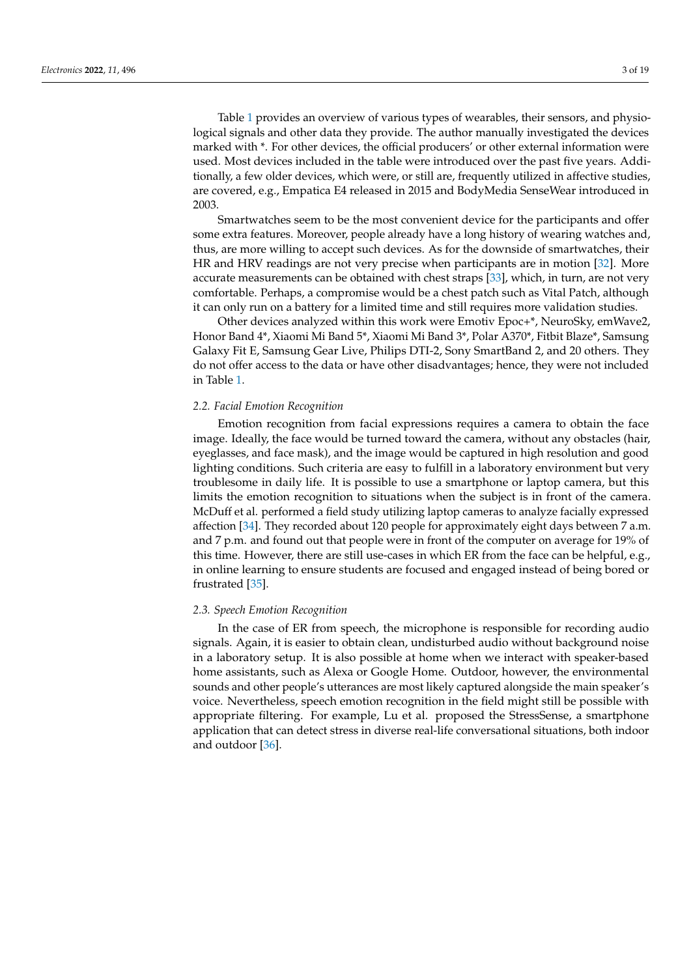Table [1](#page-3-0) provides an overview of various types of wearables, their sensors, and physiological signals and other data they provide. The author manually investigated the devices marked with \*. For other devices, the official producers' or other external information were used. Most devices included in the table were introduced over the past five years. Additionally, a few older devices, which were, or still are, frequently utilized in affective studies, are covered, e.g., Empatica E4 released in 2015 and BodyMedia SenseWear introduced in 2003.

Smartwatches seem to be the most convenient device for the participants and offer some extra features. Moreover, people already have a long history of wearing watches and, thus, are more willing to accept such devices. As for the downside of smartwatches, their HR and HRV readings are not very precise when participants are in motion [\[32\]](#page-15-15). More accurate measurements can be obtained with chest straps [\[33\]](#page-15-16), which, in turn, are not very comfortable. Perhaps, a compromise would be a chest patch such as Vital Patch, although it can only run on a battery for a limited time and still requires more validation studies.

Other devices analyzed within this work were Emotiv Epoc+\*, NeuroSky, emWave2, Honor Band 4\*, Xiaomi Mi Band 5\*, Xiaomi Mi Band 3\*, Polar A370\*, Fitbit Blaze\*, Samsung Galaxy Fit E, Samsung Gear Live, Philips DTI-2, Sony SmartBand 2, and 20 others. They do not offer access to the data or have other disadvantages; hence, they were not included in Table [1.](#page-3-0)

#### *2.2. Facial Emotion Recognition*

Emotion recognition from facial expressions requires a camera to obtain the face image. Ideally, the face would be turned toward the camera, without any obstacles (hair, eyeglasses, and face mask), and the image would be captured in high resolution and good lighting conditions. Such criteria are easy to fulfill in a laboratory environment but very troublesome in daily life. It is possible to use a smartphone or laptop camera, but this limits the emotion recognition to situations when the subject is in front of the camera. McDuff et al. performed a field study utilizing laptop cameras to analyze facially expressed affection [\[34\]](#page-15-17). They recorded about 120 people for approximately eight days between 7 a.m. and 7 p.m. and found out that people were in front of the computer on average for 19% of this time. However, there are still use-cases in which ER from the face can be helpful, e.g., in online learning to ensure students are focused and engaged instead of being bored or frustrated [\[35\]](#page-15-18).

# *2.3. Speech Emotion Recognition*

In the case of ER from speech, the microphone is responsible for recording audio signals. Again, it is easier to obtain clean, undisturbed audio without background noise in a laboratory setup. It is also possible at home when we interact with speaker-based home assistants, such as Alexa or Google Home. Outdoor, however, the environmental sounds and other people's utterances are most likely captured alongside the main speaker's voice. Nevertheless, speech emotion recognition in the field might still be possible with appropriate filtering. For example, Lu et al. proposed the StressSense, a smartphone application that can detect stress in diverse real-life conversational situations, both indoor and outdoor [\[36\]](#page-15-19).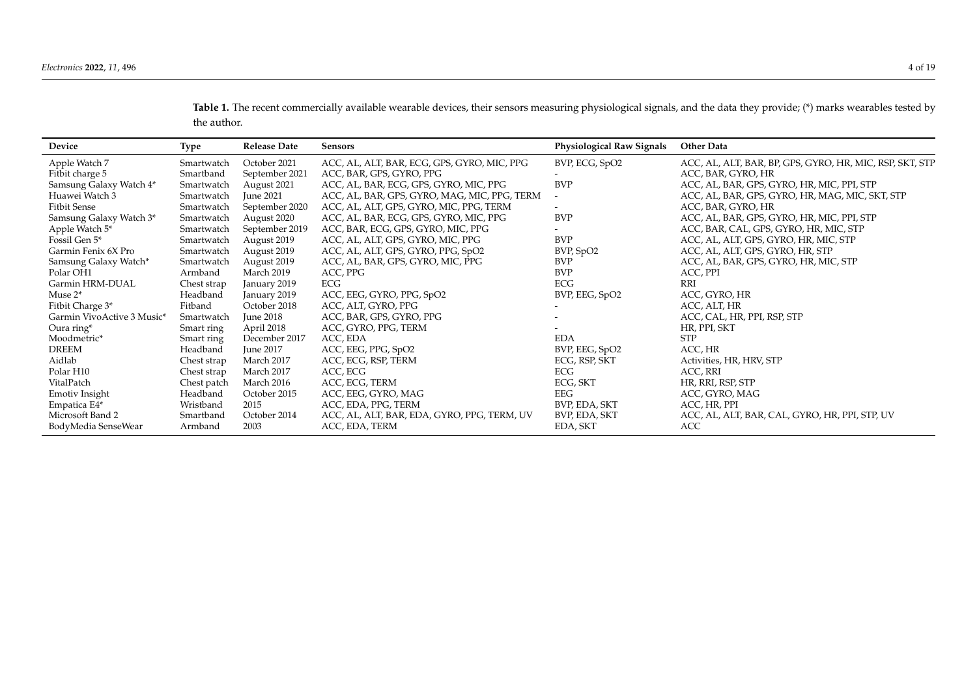Table 1. The recent commercially available wearable devices, their sensors measuring physiological signals, and the data they provide; (\*) marks wearables tested by the author.

<span id="page-3-0"></span>

| Device                     | <b>Type</b> | <b>Release Date</b> | <b>Sensors</b>                               | <b>Physiological Raw Signals</b> | <b>Other Data</b>                                        |
|----------------------------|-------------|---------------------|----------------------------------------------|----------------------------------|----------------------------------------------------------|
| Apple Watch 7              | Smartwatch  | October 2021        | ACC, AL, ALT, BAR, ECG, GPS, GYRO, MIC, PPG  | BVP, ECG, SpO2                   | ACC, AL, ALT, BAR, BP, GPS, GYRO, HR, MIC, RSP, SKT, STP |
| Fitbit charge 5            | Smartband   | September 2021      | ACC, BAR, GPS, GYRO, PPG                     |                                  | ACC, BAR, GYRO, HR                                       |
| Samsung Galaxy Watch 4*    | Smartwatch  | August 2021         | ACC, AL, BAR, ECG, GPS, GYRO, MIC, PPG       | <b>BVP</b>                       | ACC, AL, BAR, GPS, GYRO, HR, MIC, PPI, STP               |
| Huawei Watch 3             | Smartwatch  | June 2021           | ACC, AL, BAR, GPS, GYRO, MAG, MIC, PPG, TERM | $\overline{\phantom{a}}$         | ACC, AL, BAR, GPS, GYRO, HR, MAG, MIC, SKT, STP          |
| <b>Fitbit Sense</b>        | Smartwatch  | September 2020      | ACC, AL, ALT, GPS, GYRO, MIC, PPG, TERM      |                                  | ACC, BAR, GYRO, HR                                       |
| Samsung Galaxy Watch 3*    | Smartwatch  | August 2020         | ACC, AL, BAR, ECG, GPS, GYRO, MIC, PPG       | <b>BVP</b>                       | ACC, AL, BAR, GPS, GYRO, HR, MIC, PPI, STP               |
| Apple Watch 5*             | Smartwatch  | September 2019      | ACC, BAR, ECG, GPS, GYRO, MIC, PPG           |                                  | ACC, BAR, CAL, GPS, GYRO, HR, MIC, STP                   |
| Fossil Gen 5*              | Smartwatch  | August 2019         | ACC, AL, ALT, GPS, GYRO, MIC, PPG            | <b>BVP</b>                       | ACC, AL, ALT, GPS, GYRO, HR, MIC, STP                    |
| Garmin Fenix 6X Pro        | Smartwatch  | August 2019         | ACC, AL, ALT, GPS, GYRO, PPG, SpO2           | BVP, SpO2                        | ACC, AL, ALT, GPS, GYRO, HR, STP                         |
| Samsung Galaxy Watch*      | Smartwatch  | August 2019         | ACC, AL, BAR, GPS, GYRO, MIC, PPG            | <b>BVP</b>                       | ACC, AL, BAR, GPS, GYRO, HR, MIC, STP                    |
| Polar OH1                  | Armband     | March 2019          | ACC, PPG                                     | <b>BVP</b>                       | ACC, PPI                                                 |
| Garmin HRM-DUAL            | Chest strap | January 2019        | ECG                                          | ECG                              | <b>RRI</b>                                               |
| Muse 2*                    | Headband    | January 2019        | ACC, EEG, GYRO, PPG, SpO2                    | BVP, EEG, SpO2                   | ACC, GYRO, HR                                            |
| Fitbit Charge 3*           | Fitband     | October 2018        | ACC, ALT, GYRO, PPG                          |                                  | ACC, ALT, HR                                             |
| Garmin VivoActive 3 Music* | Smartwatch  | <b>June 2018</b>    | ACC, BAR, GPS, GYRO, PPG                     |                                  | ACC, CAL, HR, PPI, RSP, STP                              |
| Oura ring*                 | Smart ring  | April 2018          | ACC, GYRO, PPG, TERM                         |                                  | HR, PPI, SKT                                             |
| Moodmetric*                | Smart ring  | December 2017       | ACC, EDA                                     | <b>EDA</b>                       | <b>STP</b>                                               |
| <b>DREEM</b>               | Headband    | June 2017           | ACC, EEG, PPG, SpO2                          | BVP, EEG, SpO2                   | ACC, HR                                                  |
| Aidlab                     | Chest strap | March 2017          | ACC, ECG, RSP, TERM                          | ECG, RSP, SKT                    | Activities, HR, HRV, STP                                 |
| Polar H10                  | Chest strap | March 2017          | ACC, ECG                                     | ECG                              | ACC, RRI                                                 |
| VitalPatch                 | Chest patch | March 2016          | ACC, ECG, TERM                               | ECG, SKT                         | HR, RRI, RSP, STP                                        |
| Emotiv Insight             | Headband    | October 2015        | ACC, EEG, GYRO, MAG                          | EEG                              | ACC, GYRO, MAG                                           |
| Empatica E4*               | Wristband   | 2015                | ACC, EDA, PPG, TERM                          | BVP, EDA, SKT                    | ACC, HR, PPI                                             |
| Microsoft Band 2           | Smartband   | October 2014        | ACC, AL, ALT, BAR, EDA, GYRO, PPG, TERM, UV  | BVP, EDA, SKT                    | ACC, AL, ALT, BAR, CAL, GYRO, HR, PPI, STP, UV           |
| BodyMedia SenseWear        | Armband     | 2003                | ACC, EDA, TERM                               | EDA, SKT                         | <b>ACC</b>                                               |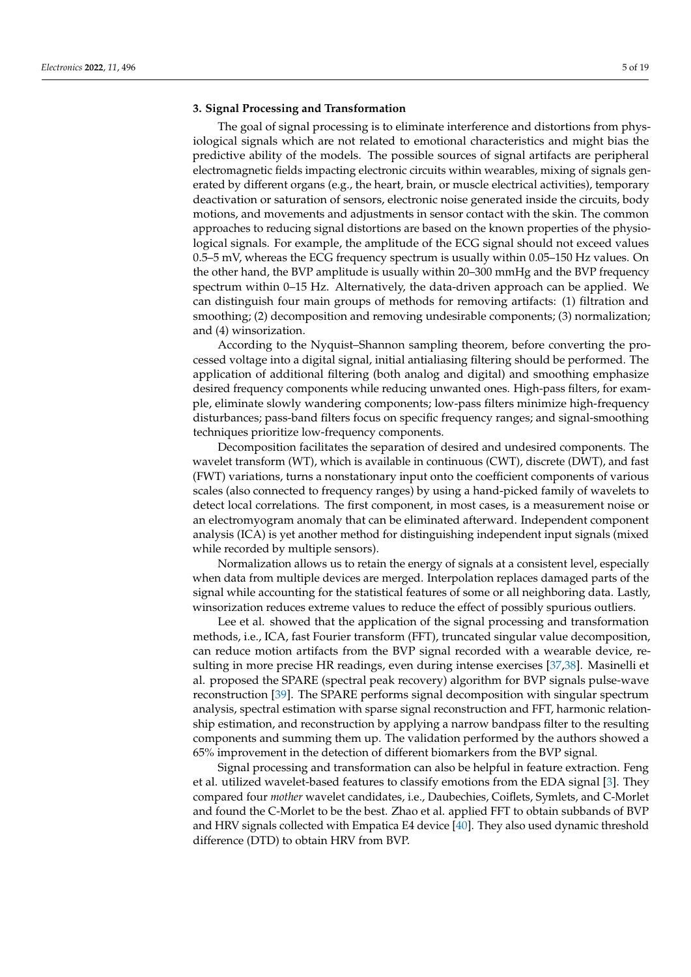#### **3. Signal Processing and Transformation**

The goal of signal processing is to eliminate interference and distortions from physiological signals which are not related to emotional characteristics and might bias the predictive ability of the models. The possible sources of signal artifacts are peripheral electromagnetic fields impacting electronic circuits within wearables, mixing of signals generated by different organs (e.g., the heart, brain, or muscle electrical activities), temporary deactivation or saturation of sensors, electronic noise generated inside the circuits, body motions, and movements and adjustments in sensor contact with the skin. The common approaches to reducing signal distortions are based on the known properties of the physiological signals. For example, the amplitude of the ECG signal should not exceed values 0.5–5 mV, whereas the ECG frequency spectrum is usually within 0.05–150 Hz values. On the other hand, the BVP amplitude is usually within 20–300 mmHg and the BVP frequency spectrum within 0–15 Hz. Alternatively, the data-driven approach can be applied. We can distinguish four main groups of methods for removing artifacts: (1) filtration and smoothing; (2) decomposition and removing undesirable components; (3) normalization; and (4) winsorization.

According to the Nyquist–Shannon sampling theorem, before converting the processed voltage into a digital signal, initial antialiasing filtering should be performed. The application of additional filtering (both analog and digital) and smoothing emphasize desired frequency components while reducing unwanted ones. High-pass filters, for example, eliminate slowly wandering components; low-pass filters minimize high-frequency disturbances; pass-band filters focus on specific frequency ranges; and signal-smoothing techniques prioritize low-frequency components.

Decomposition facilitates the separation of desired and undesired components. The wavelet transform (WT), which is available in continuous (CWT), discrete (DWT), and fast (FWT) variations, turns a nonstationary input onto the coefficient components of various scales (also connected to frequency ranges) by using a hand-picked family of wavelets to detect local correlations. The first component, in most cases, is a measurement noise or an electromyogram anomaly that can be eliminated afterward. Independent component analysis (ICA) is yet another method for distinguishing independent input signals (mixed while recorded by multiple sensors).

Normalization allows us to retain the energy of signals at a consistent level, especially when data from multiple devices are merged. Interpolation replaces damaged parts of the signal while accounting for the statistical features of some or all neighboring data. Lastly, winsorization reduces extreme values to reduce the effect of possibly spurious outliers.

Lee et al. showed that the application of the signal processing and transformation methods, i.e., ICA, fast Fourier transform (FFT), truncated singular value decomposition, can reduce motion artifacts from the BVP signal recorded with a wearable device, resulting in more precise HR readings, even during intense exercises [\[37,](#page-15-20)[38\]](#page-15-21). Masinelli et al. proposed the SPARE (spectral peak recovery) algorithm for BVP signals pulse-wave reconstruction [\[39\]](#page-15-22). The SPARE performs signal decomposition with singular spectrum analysis, spectral estimation with sparse signal reconstruction and FFT, harmonic relationship estimation, and reconstruction by applying a narrow bandpass filter to the resulting components and summing them up. The validation performed by the authors showed a 65% improvement in the detection of different biomarkers from the BVP signal.

Signal processing and transformation can also be helpful in feature extraction. Feng et al. utilized wavelet-based features to classify emotions from the EDA signal [\[3\]](#page-14-2). They compared four *mother* wavelet candidates, i.e., Daubechies, Coiflets, Symlets, and C-Morlet and found the C-Morlet to be the best. Zhao et al. applied FFT to obtain subbands of BVP and HRV signals collected with Empatica E4 device  $[40]$ . They also used dynamic threshold difference (DTD) to obtain HRV from BVP.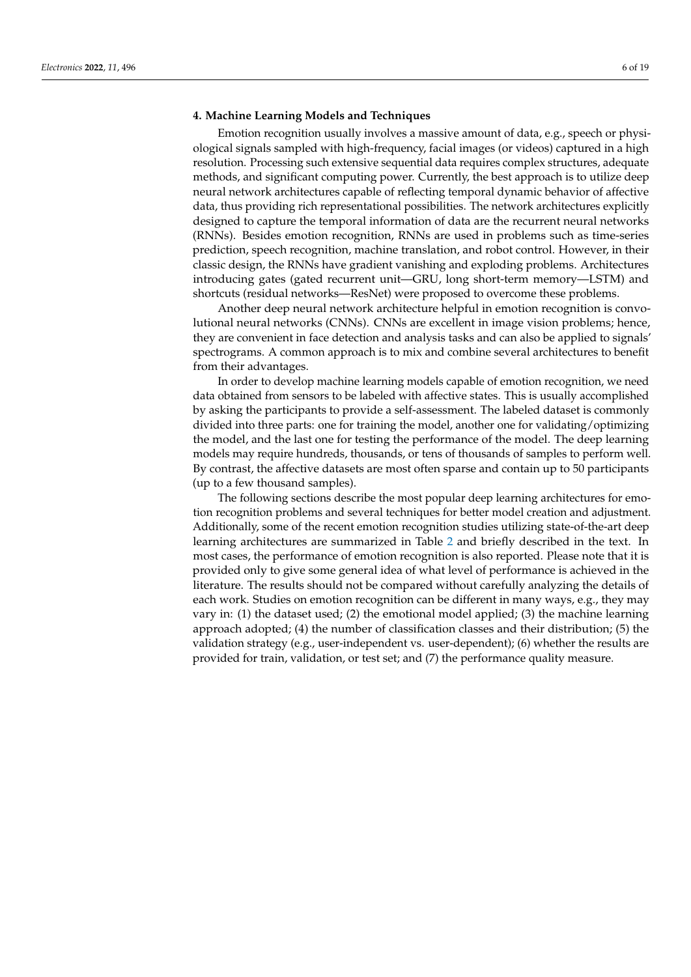#### **4. Machine Learning Models and Techniques**

Emotion recognition usually involves a massive amount of data, e.g., speech or physiological signals sampled with high-frequency, facial images (or videos) captured in a high resolution. Processing such extensive sequential data requires complex structures, adequate methods, and significant computing power. Currently, the best approach is to utilize deep neural network architectures capable of reflecting temporal dynamic behavior of affective data, thus providing rich representational possibilities. The network architectures explicitly designed to capture the temporal information of data are the recurrent neural networks (RNNs). Besides emotion recognition, RNNs are used in problems such as time-series prediction, speech recognition, machine translation, and robot control. However, in their classic design, the RNNs have gradient vanishing and exploding problems. Architectures introducing gates (gated recurrent unit—GRU, long short-term memory—LSTM) and shortcuts (residual networks—ResNet) were proposed to overcome these problems.

Another deep neural network architecture helpful in emotion recognition is convolutional neural networks (CNNs). CNNs are excellent in image vision problems; hence, they are convenient in face detection and analysis tasks and can also be applied to signals' spectrograms. A common approach is to mix and combine several architectures to benefit from their advantages.

In order to develop machine learning models capable of emotion recognition, we need data obtained from sensors to be labeled with affective states. This is usually accomplished by asking the participants to provide a self-assessment. The labeled dataset is commonly divided into three parts: one for training the model, another one for validating/optimizing the model, and the last one for testing the performance of the model. The deep learning models may require hundreds, thousands, or tens of thousands of samples to perform well. By contrast, the affective datasets are most often sparse and contain up to 50 participants (up to a few thousand samples).

The following sections describe the most popular deep learning architectures for emotion recognition problems and several techniques for better model creation and adjustment. Additionally, some of the recent emotion recognition studies utilizing state-of-the-art deep learning architectures are summarized in Table [2](#page-6-0) and briefly described in the text. In most cases, the performance of emotion recognition is also reported. Please note that it is provided only to give some general idea of what level of performance is achieved in the literature. The results should not be compared without carefully analyzing the details of each work. Studies on emotion recognition can be different in many ways, e.g., they may vary in: (1) the dataset used; (2) the emotional model applied; (3) the machine learning approach adopted; (4) the number of classification classes and their distribution; (5) the validation strategy (e.g., user-independent vs. user-dependent); (6) whether the results are provided for train, validation, or test set; and (7) the performance quality measure.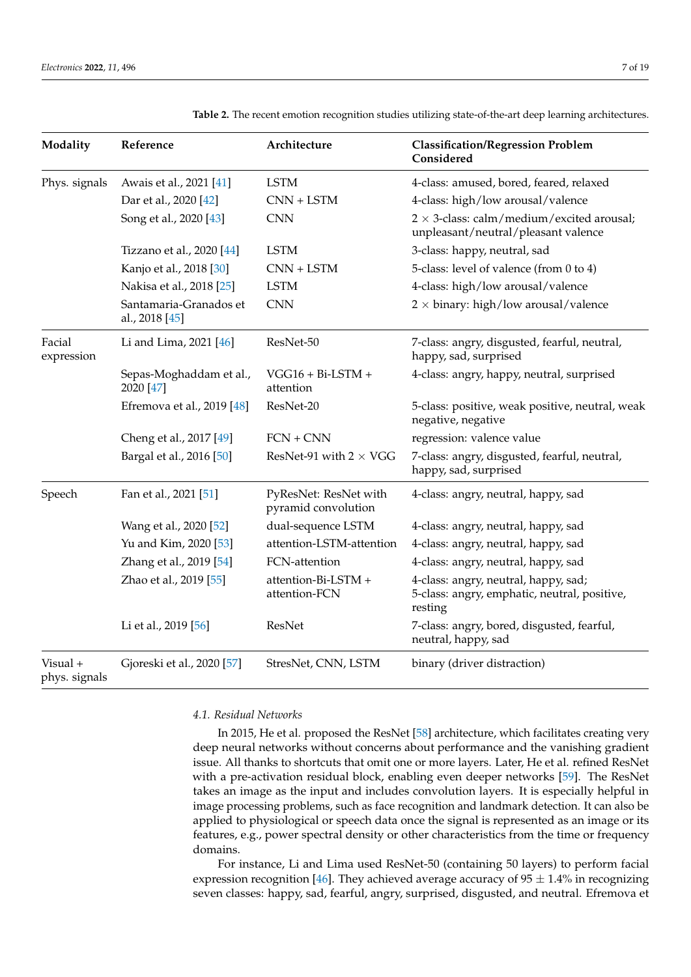| Modality                  | Reference                                | Architecture                                 | <b>Classification/Regression Problem</b><br>Considered                                          |
|---------------------------|------------------------------------------|----------------------------------------------|-------------------------------------------------------------------------------------------------|
| Phys. signals             | Awais et al., 2021 [41]                  | <b>LSTM</b>                                  | 4-class: amused, bored, feared, relaxed                                                         |
|                           | Dar et al., 2020 [42]                    | $CNN + LSTM$                                 | 4-class: high/low arousal/valence                                                               |
|                           | Song et al., 2020 [43]                   | <b>CNN</b>                                   | $2 \times 3$ -class: calm/medium/excited arousal;<br>unpleasant/neutral/pleasant valence        |
|                           | Tizzano et al., 2020 [44]                | <b>LSTM</b>                                  | 3-class: happy, neutral, sad                                                                    |
|                           | Kanjo et al., 2018 [30]                  | $CNN + LSTM$                                 | 5-class: level of valence (from 0 to 4)                                                         |
|                           | Nakisa et al., 2018 [25]                 | <b>LSTM</b>                                  | 4-class: high/low arousal/valence                                                               |
|                           | Santamaria-Granados et<br>al., 2018 [45] | <b>CNN</b>                                   | $2 \times$ binary: high/low arousal/valence                                                     |
| Facial<br>expression      | Li and Lima, 2021 [46]                   | ResNet-50                                    | 7-class: angry, disgusted, fearful, neutral,<br>happy, sad, surprised                           |
|                           | Sepas-Moghaddam et al.,<br>2020 [47]     | $VGG16 + Bi-LSTM +$<br>attention             | 4-class: angry, happy, neutral, surprised                                                       |
|                           | Efremova et al., 2019 [48]               | ResNet-20                                    | 5-class: positive, weak positive, neutral, weak<br>negative, negative                           |
|                           | Cheng et al., 2017 [49]                  | $FCN + CNN$                                  | regression: valence value                                                                       |
|                           | Bargal et al., 2016 [50]                 | ResNet-91 with $2 \times VGG$                | 7-class: angry, disgusted, fearful, neutral,<br>happy, sad, surprised                           |
| Speech                    | Fan et al., 2021 [51]                    | PyResNet: ResNet with<br>pyramid convolution | 4-class: angry, neutral, happy, sad                                                             |
|                           | Wang et al., 2020 [52]                   | dual-sequence LSTM                           | 4-class: angry, neutral, happy, sad                                                             |
|                           | Yu and Kim, 2020 [53]                    | attention-LSTM-attention                     | 4-class: angry, neutral, happy, sad                                                             |
|                           | Zhang et al., 2019 [54]                  | FCN-attention                                | 4-class: angry, neutral, happy, sad                                                             |
|                           | Zhao et al., 2019 [55]                   | attention-Bi-LSTM +<br>attention-FCN         | 4-class: angry, neutral, happy, sad;<br>5-class: angry, emphatic, neutral, positive,<br>resting |
|                           | Li et al., 2019 [56]                     | <b>ResNet</b>                                | 7-class: angry, bored, disgusted, fearful,<br>neutral, happy, sad                               |
| Visual +<br>phys. signals | Gjoreski et al., 2020 [57]               | StresNet, CNN, LSTM                          | binary (driver distraction)                                                                     |

<span id="page-6-0"></span>**Table 2.** The recent emotion recognition studies utilizing state-of-the-art deep learning architectures.

# *4.1. Residual Networks*

In 2015, He et al. proposed the ResNet [\[58\]](#page-16-15) architecture, which facilitates creating very deep neural networks without concerns about performance and the vanishing gradient issue. All thanks to shortcuts that omit one or more layers. Later, He et al. refined ResNet with a pre-activation residual block, enabling even deeper networks [\[59\]](#page-16-16). The ResNet takes an image as the input and includes convolution layers. It is especially helpful in image processing problems, such as face recognition and landmark detection. It can also be applied to physiological or speech data once the signal is represented as an image or its features, e.g., power spectral density or other characteristics from the time or frequency domains.

For instance, Li and Lima used ResNet-50 (containing 50 layers) to perform facial expression recognition [\[46\]](#page-16-3). They achieved average accuracy of  $95 \pm 1.4\%$  in recognizing seven classes: happy, sad, fearful, angry, surprised, disgusted, and neutral. Efremova et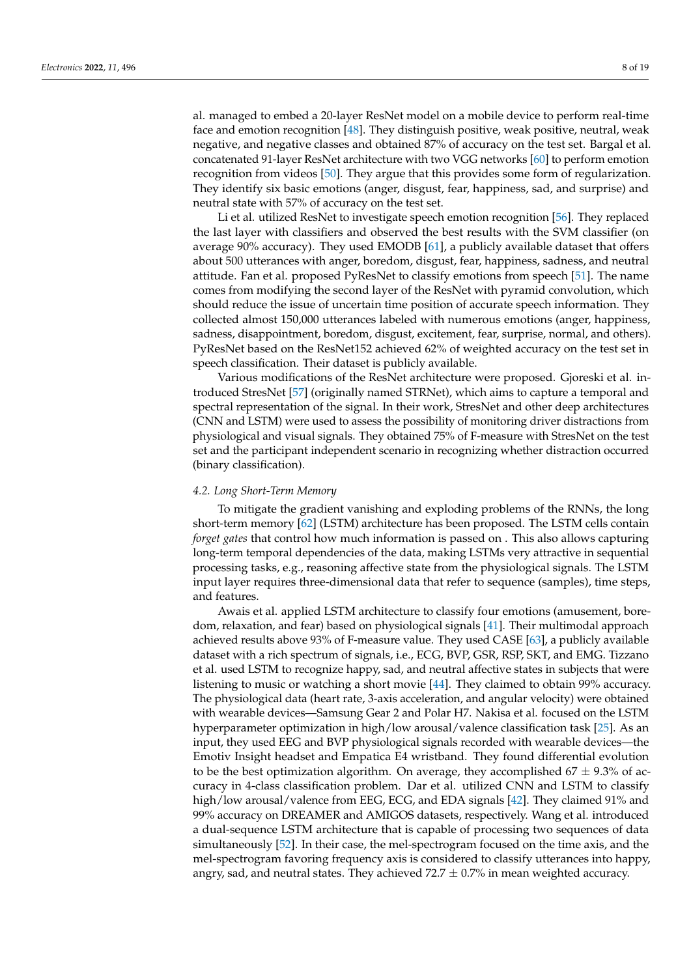al. managed to embed a 20-layer ResNet model on a mobile device to perform real-time face and emotion recognition [\[48\]](#page-16-5). They distinguish positive, weak positive, neutral, weak negative, and negative classes and obtained 87% of accuracy on the test set. Bargal et al. concatenated 91-layer ResNet architecture with two VGG networks [\[60\]](#page-16-17) to perform emotion recognition from videos [\[50\]](#page-16-7). They argue that this provides some form of regularization. They identify six basic emotions (anger, disgust, fear, happiness, sad, and surprise) and neutral state with 57% of accuracy on the test set.

Li et al. utilized ResNet to investigate speech emotion recognition [\[56\]](#page-16-13). They replaced the last layer with classifiers and observed the best results with the SVM classifier (on average 90% accuracy). They used EMODB [\[61\]](#page-16-18), a publicly available dataset that offers about 500 utterances with anger, boredom, disgust, fear, happiness, sadness, and neutral attitude. Fan et al. proposed PyResNet to classify emotions from speech [\[51\]](#page-16-8). The name comes from modifying the second layer of the ResNet with pyramid convolution, which should reduce the issue of uncertain time position of accurate speech information. They collected almost 150,000 utterances labeled with numerous emotions (anger, happiness, sadness, disappointment, boredom, disgust, excitement, fear, surprise, normal, and others). PyResNet based on the ResNet152 achieved 62% of weighted accuracy on the test set in speech classification. Their dataset is publicly available.

Various modifications of the ResNet architecture were proposed. Gjoreski et al. introduced StresNet [\[57\]](#page-16-14) (originally named STRNet), which aims to capture a temporal and spectral representation of the signal. In their work, StresNet and other deep architectures (CNN and LSTM) were used to assess the possibility of monitoring driver distractions from physiological and visual signals. They obtained 75% of F-measure with StresNet on the test set and the participant independent scenario in recognizing whether distraction occurred (binary classification).

#### *4.2. Long Short-Term Memory*

To mitigate the gradient vanishing and exploding problems of the RNNs, the long short-term memory [\[62\]](#page-16-19) (LSTM) architecture has been proposed. The LSTM cells contain *forget gates* that control how much information is passed on . This also allows capturing long-term temporal dependencies of the data, making LSTMs very attractive in sequential processing tasks, e.g., reasoning affective state from the physiological signals. The LSTM input layer requires three-dimensional data that refer to sequence (samples), time steps, and features.

Awais et al. applied LSTM architecture to classify four emotions (amusement, boredom, relaxation, and fear) based on physiological signals [\[41\]](#page-15-24). Their multimodal approach achieved results above 93% of F-measure value. They used CASE [\[63\]](#page-16-20), a publicly available dataset with a rich spectrum of signals, i.e., ECG, BVP, GSR, RSP, SKT, and EMG. Tizzano et al. used LSTM to recognize happy, sad, and neutral affective states in subjects that were listening to music or watching a short movie [\[44\]](#page-16-1). They claimed to obtain 99% accuracy. The physiological data (heart rate, 3-axis acceleration, and angular velocity) were obtained with wearable devices—Samsung Gear 2 and Polar H7. Nakisa et al. focused on the LSTM hyperparameter optimization in high/low arousal/valence classification task [\[25\]](#page-15-26). As an input, they used EEG and BVP physiological signals recorded with wearable devices—the Emotiv Insight headset and Empatica E4 wristband. They found differential evolution to be the best optimization algorithm. On average, they accomplished  $67 \pm 9.3\%$  of accuracy in 4-class classification problem. Dar et al. utilized CNN and LSTM to classify high/low arousal/valence from EEG, ECG, and EDA signals [\[42\]](#page-15-25). They claimed 91% and 99% accuracy on DREAMER and AMIGOS datasets, respectively. Wang et al. introduced a dual-sequence LSTM architecture that is capable of processing two sequences of data simultaneously [\[52\]](#page-16-9). In their case, the mel-spectrogram focused on the time axis, and the mel-spectrogram favoring frequency axis is considered to classify utterances into happy, angry, sad, and neutral states. They achieved  $72.7 \pm 0.7\%$  in mean weighted accuracy.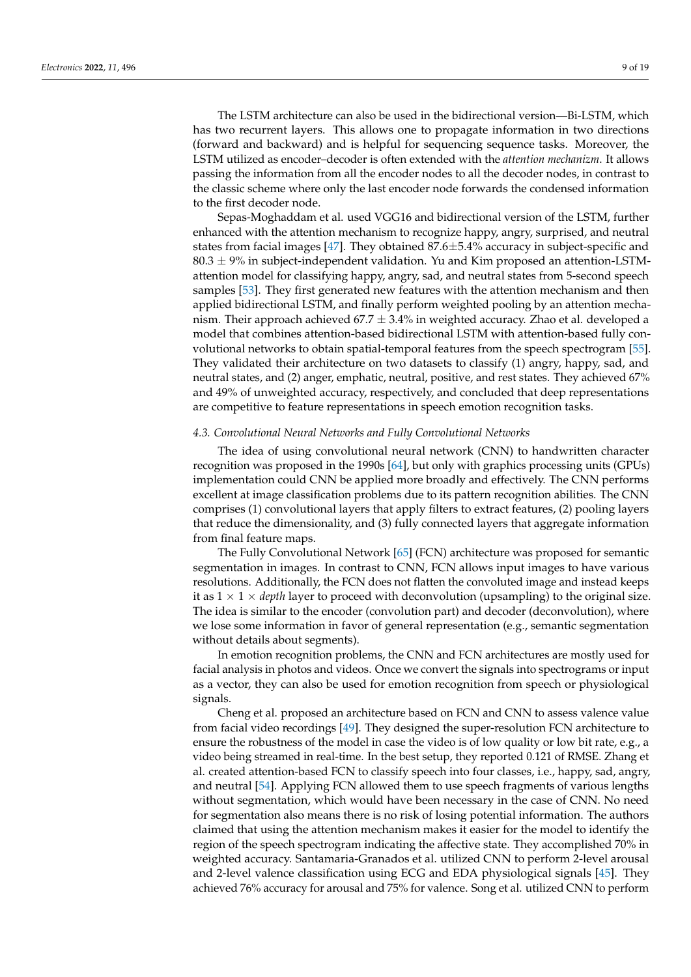The LSTM architecture can also be used in the bidirectional version—Bi-LSTM, which has two recurrent layers. This allows one to propagate information in two directions (forward and backward) and is helpful for sequencing sequence tasks. Moreover, the LSTM utilized as encoder–decoder is often extended with the *attention mechanizm*. It allows passing the information from all the encoder nodes to all the decoder nodes, in contrast to the classic scheme where only the last encoder node forwards the condensed information to the first decoder node.

Sepas-Moghaddam et al. used VGG16 and bidirectional version of the LSTM, further enhanced with the attention mechanism to recognize happy, angry, surprised, and neutral states from facial images  $[47]$ . They obtained 87.6 $\pm$ 5.4% accuracy in subject-specific and  $80.3 \pm 9\%$  in subject-independent validation. Yu and Kim proposed an attention-LSTMattention model for classifying happy, angry, sad, and neutral states from 5-second speech samples [\[53\]](#page-16-10). They first generated new features with the attention mechanism and then applied bidirectional LSTM, and finally perform weighted pooling by an attention mechanism. Their approach achieved  $67.7 \pm 3.4\%$  in weighted accuracy. Zhao et al. developed a model that combines attention-based bidirectional LSTM with attention-based fully convolutional networks to obtain spatial-temporal features from the speech spectrogram [\[55\]](#page-16-12). They validated their architecture on two datasets to classify (1) angry, happy, sad, and neutral states, and (2) anger, emphatic, neutral, positive, and rest states. They achieved 67% and 49% of unweighted accuracy, respectively, and concluded that deep representations are competitive to feature representations in speech emotion recognition tasks.

#### *4.3. Convolutional Neural Networks and Fully Convolutional Networks*

The idea of using convolutional neural network (CNN) to handwritten character recognition was proposed in the 1990s [\[64\]](#page-16-21), but only with graphics processing units (GPUs) implementation could CNN be applied more broadly and effectively. The CNN performs excellent at image classification problems due to its pattern recognition abilities. The CNN comprises (1) convolutional layers that apply filters to extract features, (2) pooling layers that reduce the dimensionality, and (3) fully connected layers that aggregate information from final feature maps.

The Fully Convolutional Network [\[65\]](#page-16-22) (FCN) architecture was proposed for semantic segmentation in images. In contrast to CNN, FCN allows input images to have various resolutions. Additionally, the FCN does not flatten the convoluted image and instead keeps it as  $1 \times 1 \times$  *depth* layer to proceed with deconvolution (upsampling) to the original size. The idea is similar to the encoder (convolution part) and decoder (deconvolution), where we lose some information in favor of general representation (e.g., semantic segmentation without details about segments).

In emotion recognition problems, the CNN and FCN architectures are mostly used for facial analysis in photos and videos. Once we convert the signals into spectrograms or input as a vector, they can also be used for emotion recognition from speech or physiological signals.

Cheng et al. proposed an architecture based on FCN and CNN to assess valence value from facial video recordings [\[49\]](#page-16-6). They designed the super-resolution FCN architecture to ensure the robustness of the model in case the video is of low quality or low bit rate, e.g., a video being streamed in real-time. In the best setup, they reported 0.121 of RMSE. Zhang et al. created attention-based FCN to classify speech into four classes, i.e., happy, sad, angry, and neutral [\[54\]](#page-16-11). Applying FCN allowed them to use speech fragments of various lengths without segmentation, which would have been necessary in the case of CNN. No need for segmentation also means there is no risk of losing potential information. The authors claimed that using the attention mechanism makes it easier for the model to identify the region of the speech spectrogram indicating the affective state. They accomplished 70% in weighted accuracy. Santamaria-Granados et al. utilized CNN to perform 2-level arousal and 2-level valence classification using ECG and EDA physiological signals [\[45\]](#page-16-2). They achieved 76% accuracy for arousal and 75% for valence. Song et al. utilized CNN to perform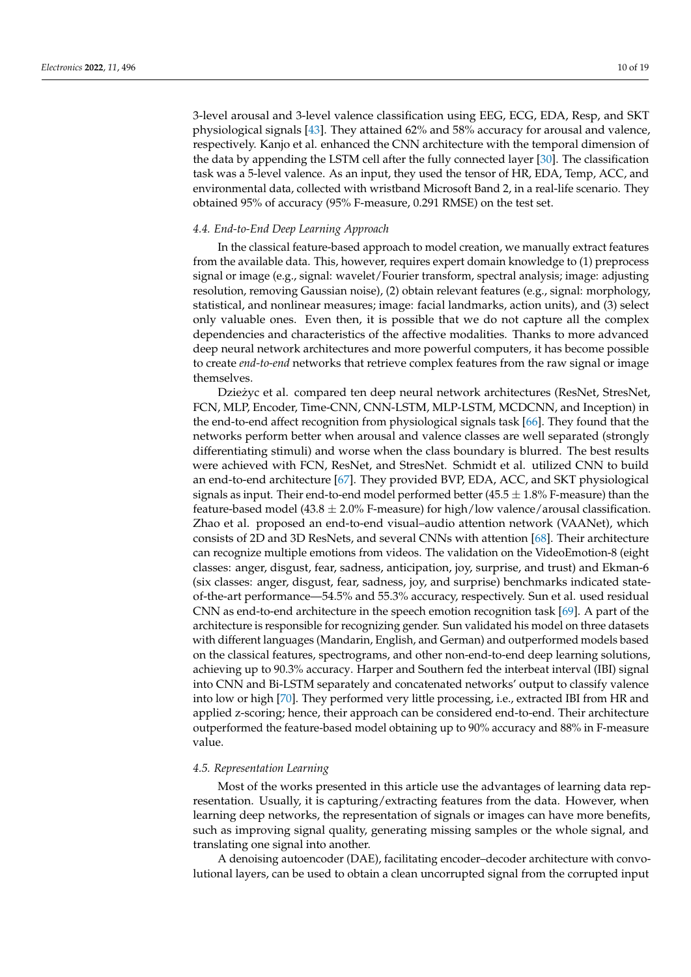3-level arousal and 3-level valence classification using EEG, ECG, EDA, Resp, and SKT physiological signals [\[43\]](#page-16-0). They attained 62% and 58% accuracy for arousal and valence, respectively. Kanjo et al. enhanced the CNN architecture with the temporal dimension of the data by appending the LSTM cell after the fully connected layer [\[30\]](#page-15-13). The classification task was a 5-level valence. As an input, they used the tensor of HR, EDA, Temp, ACC, and environmental data, collected with wristband Microsoft Band 2, in a real-life scenario. They obtained 95% of accuracy (95% F-measure, 0.291 RMSE) on the test set.

#### *4.4. End-to-End Deep Learning Approach*

In the classical feature-based approach to model creation, we manually extract features from the available data. This, however, requires expert domain knowledge to (1) preprocess signal or image (e.g., signal: wavelet/Fourier transform, spectral analysis; image: adjusting resolution, removing Gaussian noise), (2) obtain relevant features (e.g., signal: morphology, statistical, and nonlinear measures; image: facial landmarks, action units), and (3) select only valuable ones. Even then, it is possible that we do not capture all the complex dependencies and characteristics of the affective modalities. Thanks to more advanced deep neural network architectures and more powerful computers, it has become possible to create *end-to-end* networks that retrieve complex features from the raw signal or image themselves.

Dzieżyc et al. compared ten deep neural network architectures (ResNet, StresNet, FCN, MLP, Encoder, Time-CNN, CNN-LSTM, MLP-LSTM, MCDCNN, and Inception) in the end-to-end affect recognition from physiological signals task [\[66\]](#page-16-23). They found that the networks perform better when arousal and valence classes are well separated (strongly differentiating stimuli) and worse when the class boundary is blurred. The best results were achieved with FCN, ResNet, and StresNet. Schmidt et al. utilized CNN to build an end-to-end architecture [\[67\]](#page-16-24). They provided BVP, EDA, ACC, and SKT physiological signals as input. Their end-to-end model performed better (45.5  $\pm$  1.8% F-measure) than the feature-based model (43.8  $\pm$  2.0% F-measure) for high/low valence/arousal classification. Zhao et al. proposed an end-to-end visual–audio attention network (VAANet), which consists of 2D and 3D ResNets, and several CNNs with attention [\[68\]](#page-16-25). Their architecture can recognize multiple emotions from videos. The validation on the VideoEmotion-8 (eight classes: anger, disgust, fear, sadness, anticipation, joy, surprise, and trust) and Ekman-6 (six classes: anger, disgust, fear, sadness, joy, and surprise) benchmarks indicated stateof-the-art performance—54.5% and 55.3% accuracy, respectively. Sun et al. used residual CNN as end-to-end architecture in the speech emotion recognition task [\[69\]](#page-16-26). A part of the architecture is responsible for recognizing gender. Sun validated his model on three datasets with different languages (Mandarin, English, and German) and outperformed models based on the classical features, spectrograms, and other non-end-to-end deep learning solutions, achieving up to 90.3% accuracy. Harper and Southern fed the interbeat interval (IBI) signal into CNN and Bi-LSTM separately and concatenated networks' output to classify valence into low or high [\[70\]](#page-17-0). They performed very little processing, i.e., extracted IBI from HR and applied z-scoring; hence, their approach can be considered end-to-end. Their architecture outperformed the feature-based model obtaining up to 90% accuracy and 88% in F-measure value.

# *4.5. Representation Learning*

Most of the works presented in this article use the advantages of learning data representation. Usually, it is capturing/extracting features from the data. However, when learning deep networks, the representation of signals or images can have more benefits, such as improving signal quality, generating missing samples or the whole signal, and translating one signal into another.

A denoising autoencoder (DAE), facilitating encoder–decoder architecture with convolutional layers, can be used to obtain a clean uncorrupted signal from the corrupted input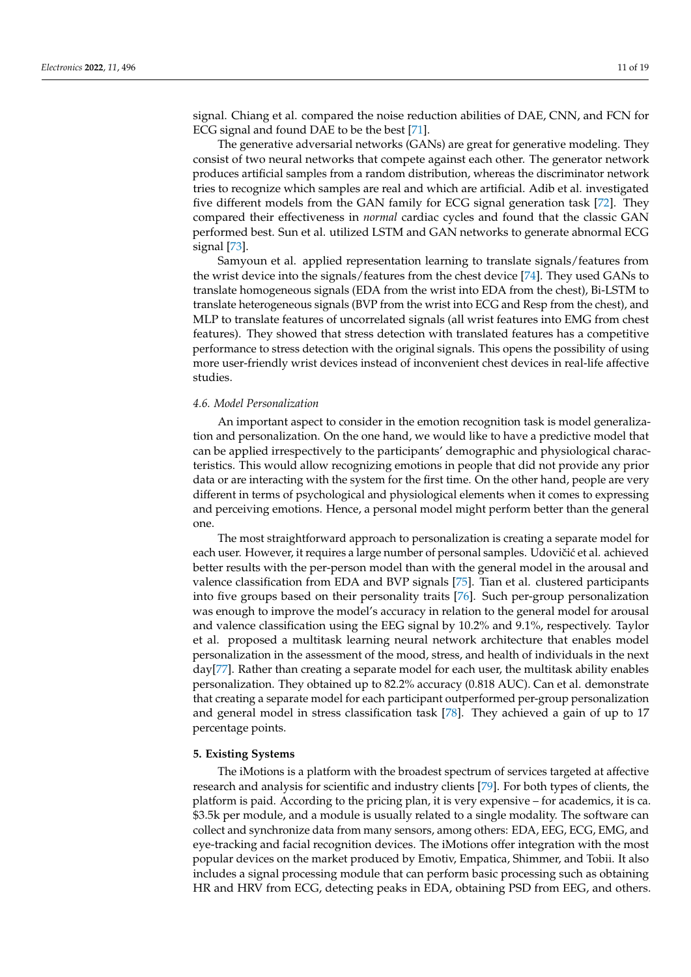signal. Chiang et al. compared the noise reduction abilities of DAE, CNN, and FCN for ECG signal and found DAE to be the best [\[71\]](#page-17-1).

The generative adversarial networks (GANs) are great for generative modeling. They consist of two neural networks that compete against each other. The generator network produces artificial samples from a random distribution, whereas the discriminator network tries to recognize which samples are real and which are artificial. Adib et al. investigated five different models from the GAN family for ECG signal generation task [\[72\]](#page-17-2). They compared their effectiveness in *normal* cardiac cycles and found that the classic GAN performed best. Sun et al. utilized LSTM and GAN networks to generate abnormal ECG signal [\[73\]](#page-17-3).

Samyoun et al. applied representation learning to translate signals/features from the wrist device into the signals/features from the chest device [\[74\]](#page-17-4). They used GANs to translate homogeneous signals (EDA from the wrist into EDA from the chest), Bi-LSTM to translate heterogeneous signals (BVP from the wrist into ECG and Resp from the chest), and MLP to translate features of uncorrelated signals (all wrist features into EMG from chest features). They showed that stress detection with translated features has a competitive performance to stress detection with the original signals. This opens the possibility of using more user-friendly wrist devices instead of inconvenient chest devices in real-life affective studies.

#### *4.6. Model Personalization*

An important aspect to consider in the emotion recognition task is model generalization and personalization. On the one hand, we would like to have a predictive model that can be applied irrespectively to the participants' demographic and physiological characteristics. This would allow recognizing emotions in people that did not provide any prior data or are interacting with the system for the first time. On the other hand, people are very different in terms of psychological and physiological elements when it comes to expressing and perceiving emotions. Hence, a personal model might perform better than the general one.

The most straightforward approach to personalization is creating a separate model for each user. However, it requires a large number of personal samples. Udovičić et al. achieved better results with the per-person model than with the general model in the arousal and valence classification from EDA and BVP signals [\[75\]](#page-17-5). Tian et al. clustered participants into five groups based on their personality traits [\[76\]](#page-17-6). Such per-group personalization was enough to improve the model's accuracy in relation to the general model for arousal and valence classification using the EEG signal by 10.2% and 9.1%, respectively. Taylor et al. proposed a multitask learning neural network architecture that enables model personalization in the assessment of the mood, stress, and health of individuals in the next day[\[77\]](#page-17-7). Rather than creating a separate model for each user, the multitask ability enables personalization. They obtained up to 82.2% accuracy (0.818 AUC). Can et al. demonstrate that creating a separate model for each participant outperformed per-group personalization and general model in stress classification task [\[78\]](#page-17-8). They achieved a gain of up to 17 percentage points.

#### **5. Existing Systems**

The iMotions is a platform with the broadest spectrum of services targeted at affective research and analysis for scientific and industry clients [\[79\]](#page-17-9). For both types of clients, the platform is paid. According to the pricing plan, it is very expensive – for academics, it is ca. \$3.5k per module, and a module is usually related to a single modality. The software can collect and synchronize data from many sensors, among others: EDA, EEG, ECG, EMG, and eye-tracking and facial recognition devices. The iMotions offer integration with the most popular devices on the market produced by Emotiv, Empatica, Shimmer, and Tobii. It also includes a signal processing module that can perform basic processing such as obtaining HR and HRV from ECG, detecting peaks in EDA, obtaining PSD from EEG, and others.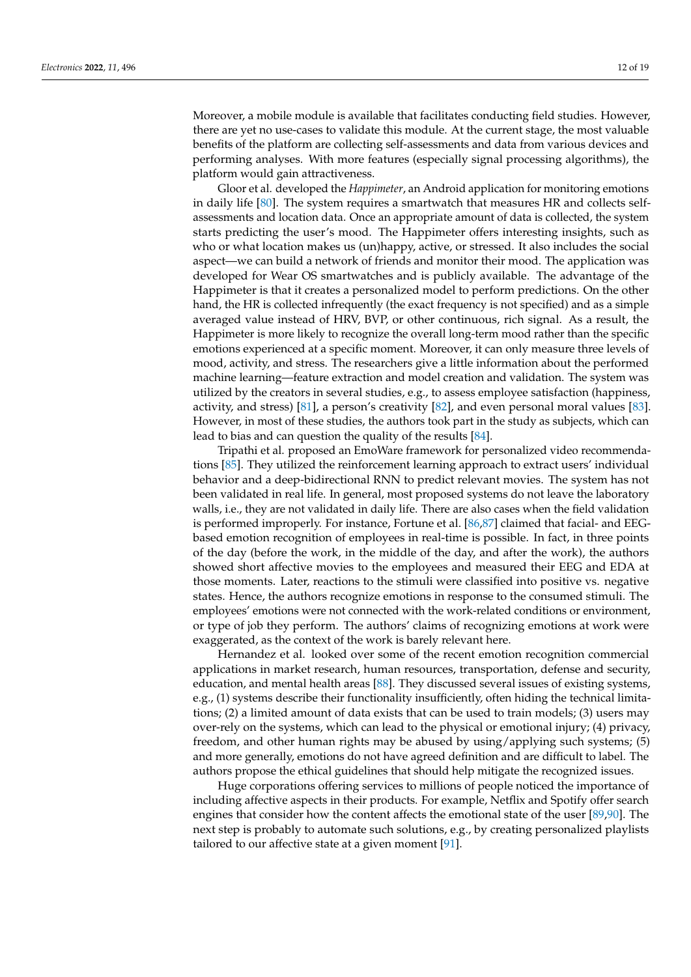Moreover, a mobile module is available that facilitates conducting field studies. However, there are yet no use-cases to validate this module. At the current stage, the most valuable benefits of the platform are collecting self-assessments and data from various devices and performing analyses. With more features (especially signal processing algorithms), the platform would gain attractiveness.

Gloor et al. developed the *Happimeter*, an Android application for monitoring emotions in daily life [\[80\]](#page-17-10). The system requires a smartwatch that measures HR and collects selfassessments and location data. Once an appropriate amount of data is collected, the system starts predicting the user's mood. The Happimeter offers interesting insights, such as who or what location makes us (un)happy, active, or stressed. It also includes the social aspect—we can build a network of friends and monitor their mood. The application was developed for Wear OS smartwatches and is publicly available. The advantage of the Happimeter is that it creates a personalized model to perform predictions. On the other hand, the HR is collected infrequently (the exact frequency is not specified) and as a simple averaged value instead of HRV, BVP, or other continuous, rich signal. As a result, the Happimeter is more likely to recognize the overall long-term mood rather than the specific emotions experienced at a specific moment. Moreover, it can only measure three levels of mood, activity, and stress. The researchers give a little information about the performed machine learning—feature extraction and model creation and validation. The system was utilized by the creators in several studies, e.g., to assess employee satisfaction (happiness, activity, and stress) [\[81\]](#page-17-11), a person's creativity [\[82\]](#page-17-12), and even personal moral values [\[83\]](#page-17-13). However, in most of these studies, the authors took part in the study as subjects, which can lead to bias and can question the quality of the results [\[84\]](#page-17-14).

Tripathi et al. proposed an EmoWare framework for personalized video recommendations [\[85\]](#page-17-15). They utilized the reinforcement learning approach to extract users' individual behavior and a deep-bidirectional RNN to predict relevant movies. The system has not been validated in real life. In general, most proposed systems do not leave the laboratory walls, i.e., they are not validated in daily life. There are also cases when the field validation is performed improperly. For instance, Fortune et al. [\[86](#page-17-16)[,87\]](#page-17-17) claimed that facial- and EEGbased emotion recognition of employees in real-time is possible. In fact, in three points of the day (before the work, in the middle of the day, and after the work), the authors showed short affective movies to the employees and measured their EEG and EDA at those moments. Later, reactions to the stimuli were classified into positive vs. negative states. Hence, the authors recognize emotions in response to the consumed stimuli. The employees' emotions were not connected with the work-related conditions or environment, or type of job they perform. The authors' claims of recognizing emotions at work were exaggerated, as the context of the work is barely relevant here.

Hernandez et al. looked over some of the recent emotion recognition commercial applications in market research, human resources, transportation, defense and security, education, and mental health areas [\[88\]](#page-17-18). They discussed several issues of existing systems, e.g., (1) systems describe their functionality insufficiently, often hiding the technical limitations; (2) a limited amount of data exists that can be used to train models; (3) users may over-rely on the systems, which can lead to the physical or emotional injury; (4) privacy, freedom, and other human rights may be abused by using/applying such systems; (5) and more generally, emotions do not have agreed definition and are difficult to label. The authors propose the ethical guidelines that should help mitigate the recognized issues.

Huge corporations offering services to millions of people noticed the importance of including affective aspects in their products. For example, Netflix and Spotify offer search engines that consider how the content affects the emotional state of the user [\[89](#page-17-19)[,90\]](#page-17-20). The next step is probably to automate such solutions, e.g., by creating personalized playlists tailored to our affective state at a given moment [\[91\]](#page-17-21).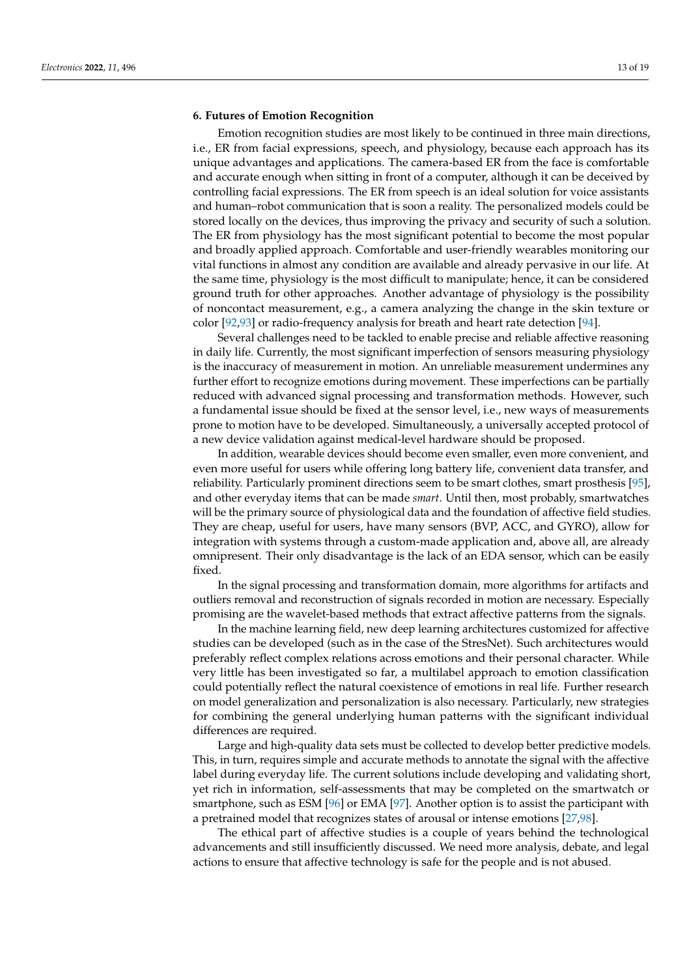#### **6. Futures of Emotion Recognition**

Emotion recognition studies are most likely to be continued in three main directions, i.e., ER from facial expressions, speech, and physiology, because each approach has its unique advantages and applications. The camera-based ER from the face is comfortable and accurate enough when sitting in front of a computer, although it can be deceived by controlling facial expressions. The ER from speech is an ideal solution for voice assistants and human–robot communication that is soon a reality. The personalized models could be stored locally on the devices, thus improving the privacy and security of such a solution. The ER from physiology has the most significant potential to become the most popular and broadly applied approach. Comfortable and user-friendly wearables monitoring our vital functions in almost any condition are available and already pervasive in our life. At the same time, physiology is the most difficult to manipulate; hence, it can be considered ground truth for other approaches. Another advantage of physiology is the possibility of noncontact measurement, e.g., a camera analyzing the change in the skin texture or color [\[92](#page-17-22)[,93\]](#page-17-23) or radio-frequency analysis for breath and heart rate detection [\[94\]](#page-17-24).

Several challenges need to be tackled to enable precise and reliable affective reasoning in daily life. Currently, the most significant imperfection of sensors measuring physiology is the inaccuracy of measurement in motion. An unreliable measurement undermines any further effort to recognize emotions during movement. These imperfections can be partially reduced with advanced signal processing and transformation methods. However, such a fundamental issue should be fixed at the sensor level, i.e., new ways of measurements prone to motion have to be developed. Simultaneously, a universally accepted protocol of a new device validation against medical-level hardware should be proposed.

In addition, wearable devices should become even smaller, even more convenient, and even more useful for users while offering long battery life, convenient data transfer, and reliability. Particularly prominent directions seem to be smart clothes, smart prosthesis [\[95\]](#page-17-25), and other everyday items that can be made *smart*. Until then, most probably, smartwatches will be the primary source of physiological data and the foundation of affective field studies. They are cheap, useful for users, have many sensors (BVP, ACC, and GYRO), allow for integration with systems through a custom-made application and, above all, are already omnipresent. Their only disadvantage is the lack of an EDA sensor, which can be easily fixed.

In the signal processing and transformation domain, more algorithms for artifacts and outliers removal and reconstruction of signals recorded in motion are necessary. Especially promising are the wavelet-based methods that extract affective patterns from the signals.

In the machine learning field, new deep learning architectures customized for affective studies can be developed (such as in the case of the StresNet). Such architectures would preferably reflect complex relations across emotions and their personal character. While very little has been investigated so far, a multilabel approach to emotion classification could potentially reflect the natural coexistence of emotions in real life. Further research on model generalization and personalization is also necessary. Particularly, new strategies for combining the general underlying human patterns with the significant individual differences are required.

Large and high-quality data sets must be collected to develop better predictive models. This, in turn, requires simple and accurate methods to annotate the signal with the affective label during everyday life. The current solutions include developing and validating short, yet rich in information, self-assessments that may be completed on the smartwatch or smartphone, such as ESM [\[96\]](#page-17-26) or EMA [\[97\]](#page-18-0). Another option is to assist the participant with a pretrained model that recognizes states of arousal or intense emotions [\[27](#page-15-10)[,98\]](#page-18-1).

The ethical part of affective studies is a couple of years behind the technological advancements and still insufficiently discussed. We need more analysis, debate, and legal actions to ensure that affective technology is safe for the people and is not abused.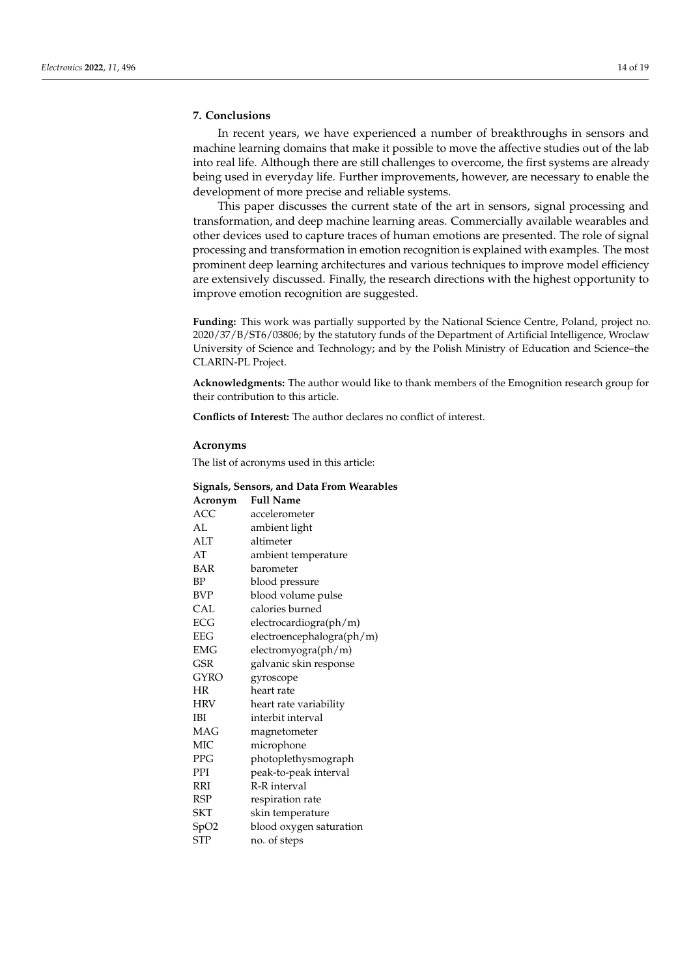# **7. Conclusions**

In recent years, we have experienced a number of breakthroughs in sensors and machine learning domains that make it possible to move the affective studies out of the lab into real life. Although there are still challenges to overcome, the first systems are already being used in everyday life. Further improvements, however, are necessary to enable the development of more precise and reliable systems.

This paper discusses the current state of the art in sensors, signal processing and transformation, and deep machine learning areas. Commercially available wearables and other devices used to capture traces of human emotions are presented. The role of signal processing and transformation in emotion recognition is explained with examples. The most prominent deep learning architectures and various techniques to improve model efficiency are extensively discussed. Finally, the research directions with the highest opportunity to improve emotion recognition are suggested.

**Funding:** This work was partially supported by the National Science Centre, Poland, project no. 2020/37/B/ST6/03806; by the statutory funds of the Department of Artificial Intelligence, Wroclaw University of Science and Technology; and by the Polish Ministry of Education and Science–the CLARIN-PL Project.

**Acknowledgments:** The author would like to thank members of the Emognition research group for their contribution to this article.

**Conflicts of Interest:** The author declares no conflict of interest.

#### **Acronyms**

The list of acronyms used in this article:

#### **Signals, Sensors, and Data From Wearables**

| Acronym          | <b>Full Name</b>          |
|------------------|---------------------------|
| ACC.             | accelerometer             |
| AL.              | ambient light             |
| ALT              | altimeter                 |
| AT               | ambient temperature       |
| <b>BAR</b>       | barometer                 |
| BP               | blood pressure            |
| <b>BVP</b>       | blood volume pulse        |
| <b>CAL</b>       | calories burned           |
| ECG              | electrocardiogra(ph/m)    |
| <b>EEG</b>       | electroencephalogra(ph/m) |
| <b>EMG</b>       | electromyogra(ph/m)       |
| <b>GSR</b>       | galvanic skin response    |
| <b>GYRO</b>      | gyroscope                 |
| HR               | heart rate                |
| <b>HRV</b>       | heart rate variability    |
| <b>IBI</b>       | interbit interval         |
| <b>MAG</b>       | magnetometer              |
| <b>MIC</b>       | microphone                |
| <b>PPG</b>       | photoplethysmograph       |
| PPI              | peak-to-peak interval     |
| RRI              | R-R interval              |
| <b>RSP</b>       | respiration rate          |
| <b>SKT</b>       | skin temperature          |
| SpO <sub>2</sub> | blood oxygen saturation   |
| <b>STP</b>       | no. of steps              |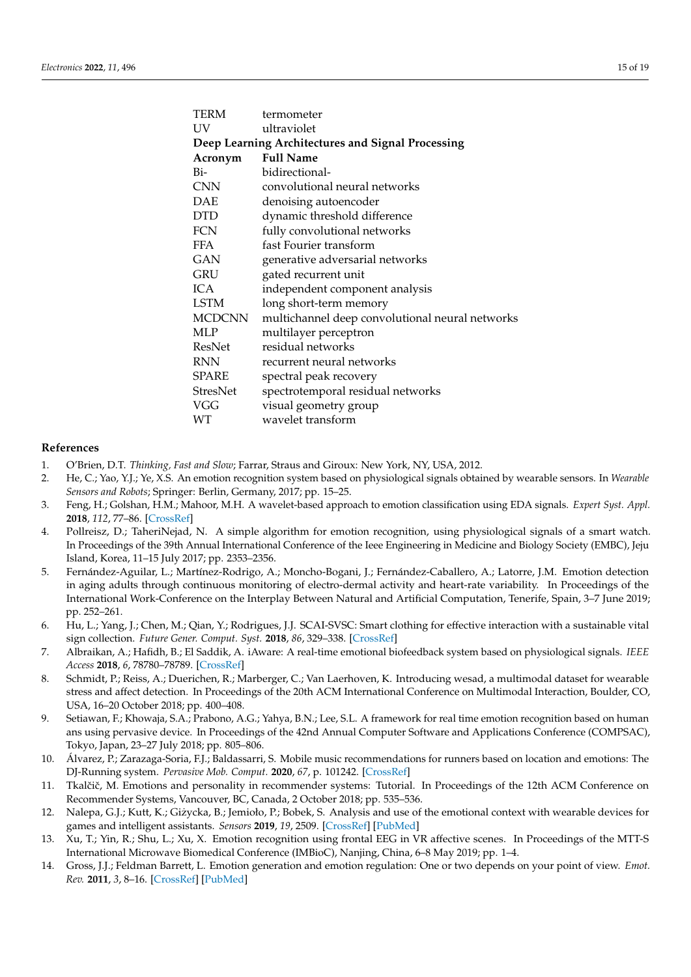| termometer                                        |  |  |  |  |  |
|---------------------------------------------------|--|--|--|--|--|
| ultraviolet                                       |  |  |  |  |  |
| Deep Learning Architectures and Signal Processing |  |  |  |  |  |
| <b>Full Name</b>                                  |  |  |  |  |  |
| bidirectional-                                    |  |  |  |  |  |
| convolutional neural networks                     |  |  |  |  |  |
| denoising autoencoder                             |  |  |  |  |  |
| dynamic threshold difference                      |  |  |  |  |  |
| fully convolutional networks                      |  |  |  |  |  |
| fast Fourier transform                            |  |  |  |  |  |
| generative adversarial networks                   |  |  |  |  |  |
| gated recurrent unit                              |  |  |  |  |  |
| independent component analysis                    |  |  |  |  |  |
| long short-term memory                            |  |  |  |  |  |
| multichannel deep convolutional neural networks   |  |  |  |  |  |
| multilayer perceptron                             |  |  |  |  |  |
| residual networks                                 |  |  |  |  |  |
| recurrent neural networks                         |  |  |  |  |  |
| spectral peak recovery                            |  |  |  |  |  |
| spectrotemporal residual networks                 |  |  |  |  |  |
| visual geometry group                             |  |  |  |  |  |
| wavelet transform                                 |  |  |  |  |  |
|                                                   |  |  |  |  |  |

#### **References**

- <span id="page-14-0"></span>1. O'Brien, D.T. *Thinking, Fast and Slow*; Farrar, Straus and Giroux: New York, NY, USA, 2012.
- <span id="page-14-1"></span>2. He, C.; Yao, Y.J.; Ye, X.S. An emotion recognition system based on physiological signals obtained by wearable sensors. In *Wearable Sensors and Robots*; Springer: Berlin, Germany, 2017; pp. 15–25.
- <span id="page-14-2"></span>3. Feng, H.; Golshan, H.M.; Mahoor, M.H. A wavelet-based approach to emotion classification using EDA signals. *Expert Syst. Appl.* **2018**, *112*, 77–86. [\[CrossRef\]](http://doi.org/10.1016/j.eswa.2018.06.014)
- <span id="page-14-3"></span>4. Pollreisz, D.; TaheriNejad, N. A simple algorithm for emotion recognition, using physiological signals of a smart watch. In Proceedings of the 39th Annual International Conference of the Ieee Engineering in Medicine and Biology Society (EMBC), Jeju Island, Korea, 11–15 July 2017; pp. 2353–2356.
- <span id="page-14-4"></span>5. Fernández-Aguilar, L.; Martínez-Rodrigo, A.; Moncho-Bogani, J.; Fernández-Caballero, A.; Latorre, J.M. Emotion detection in aging adults through continuous monitoring of electro-dermal activity and heart-rate variability. In Proceedings of the International Work-Conference on the Interplay Between Natural and Artificial Computation, Tenerife, Spain, 3–7 June 2019; pp. 252–261.
- <span id="page-14-5"></span>6. Hu, L.; Yang, J.; Chen, M.; Qian, Y.; Rodrigues, J.J. SCAI-SVSC: Smart clothing for effective interaction with a sustainable vital sign collection. *Future Gener. Comput. Syst.* **2018**, *86*, 329–338. [\[CrossRef\]](http://dx.doi.org/10.1016/j.future.2018.03.042)
- <span id="page-14-6"></span>7. Albraikan, A.; Hafidh, B.; El Saddik, A. iAware: A real-time emotional biofeedback system based on physiological signals. *IEEE Access* **2018**, *6*, 78780–78789. [\[CrossRef\]](http://dx.doi.org/10.1109/ACCESS.2018.2885279)
- <span id="page-14-7"></span>8. Schmidt, P.; Reiss, A.; Duerichen, R.; Marberger, C.; Van Laerhoven, K. Introducing wesad, a multimodal dataset for wearable stress and affect detection. In Proceedings of the 20th ACM International Conference on Multimodal Interaction, Boulder, CO, USA, 16–20 October 2018; pp. 400–408.
- <span id="page-14-8"></span>9. Setiawan, F.; Khowaja, S.A.; Prabono, A.G.; Yahya, B.N.; Lee, S.L. A framework for real time emotion recognition based on human ans using pervasive device. In Proceedings of the 42nd Annual Computer Software and Applications Conference (COMPSAC), Tokyo, Japan, 23–27 July 2018; pp. 805–806.
- <span id="page-14-9"></span>10. Álvarez, P.; Zarazaga-Soria, F.J.; Baldassarri, S. Mobile music recommendations for runners based on location and emotions: The DJ-Running system. *Pervasive Mob. Comput.* **2020**, *67*, p. 101242. [\[CrossRef\]](http://dx.doi.org/10.1016/j.pmcj.2020.101242)
- <span id="page-14-10"></span>11. Tkalčič, M. Emotions and personality in recommender systems: Tutorial. In Proceedings of the 12th ACM Conference on Recommender Systems, Vancouver, BC, Canada, 2 October 2018; pp. 535–536.
- <span id="page-14-11"></span>12. Nalepa, G.J.; Kutt, K.; Gizycka, B.; Jemioło, P.; Bobek, S. Analysis and use of the emotional context with wearable devices for ˙ games and intelligent assistants. *Sensors* **2019**, *19*, 2509. [\[CrossRef\]](http://dx.doi.org/10.3390/s19112509) [\[PubMed\]](http://www.ncbi.nlm.nih.gov/pubmed/31159317)
- <span id="page-14-12"></span>13. Xu, T.; Yin, R.; Shu, L.; Xu, X. Emotion recognition using frontal EEG in VR affective scenes. In Proceedings of the MTT-S International Microwave Biomedical Conference (IMBioC), Nanjing, China, 6–8 May 2019; pp. 1–4.
- <span id="page-14-13"></span>14. Gross, J.J.; Feldman Barrett, L. Emotion generation and emotion regulation: One or two depends on your point of view. *Emot. Rev.* **2011**, *3*, 8–16. [\[CrossRef\]](http://dx.doi.org/10.1177/1754073910380974) [\[PubMed\]](http://www.ncbi.nlm.nih.gov/pubmed/21479078)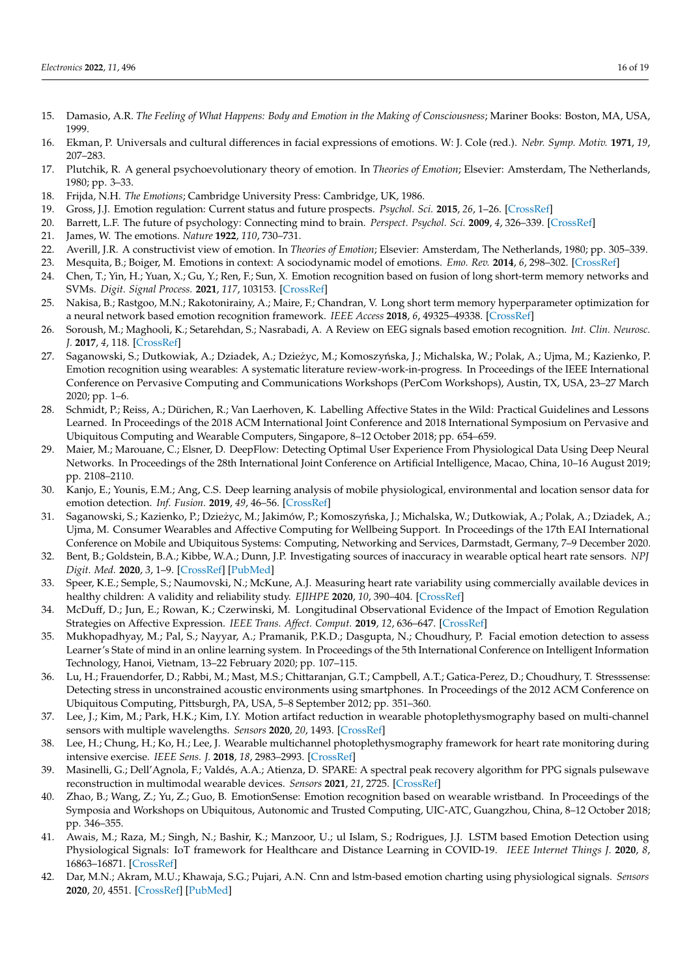- <span id="page-15-0"></span>15. Damasio, A.R. *The Feeling of What Happens: Body and Emotion in the Making of Consciousness*; Mariner Books: Boston, MA, USA, 1999.
- 16. Ekman, P. Universals and cultural differences in facial expressions of emotions. W: J. Cole (red.). *Nebr. Symp. Motiv.* **1971**, *19*, 207–283.
- <span id="page-15-1"></span>17. Plutchik, R. A general psychoevolutionary theory of emotion. In *Theories of Emotion*; Elsevier: Amsterdam, The Netherlands, 1980; pp. 3–33.
- <span id="page-15-2"></span>18. Frijda, N.H. *The Emotions*; Cambridge University Press: Cambridge, UK, 1986.
- <span id="page-15-3"></span>19. Gross, J.J. Emotion regulation: Current status and future prospects. *Psychol. Sci.* **2015**, *26*, 1–26. [\[CrossRef\]](http://dx.doi.org/10.1080/1047840X.2014.940781)
- <span id="page-15-4"></span>20. Barrett, L.F. The future of psychology: Connecting mind to brain. *Perspect. Psychol. Sci.* **2009**, *4*, 326–339. [\[CrossRef\]](http://dx.doi.org/10.1111/j.1745-6924.2009.01134.x)
- <span id="page-15-5"></span>21. James, W. The emotions. *Nature* **1922**, *110*, 730–731.
- <span id="page-15-6"></span>22. Averill, J.R. A constructivist view of emotion. In *Theories of Emotion*; Elsevier: Amsterdam, The Netherlands, 1980; pp. 305–339.
- <span id="page-15-7"></span>23. Mesquita, B.; Boiger, M. Emotions in context: A sociodynamic model of emotions. *Emo. Rev.* **2014**, *6*, 298–302. [\[CrossRef\]](http://dx.doi.org/10.1177/1754073914534480)
- <span id="page-15-8"></span>24. Chen, T.; Yin, H.; Yuan, X.; Gu, Y.; Ren, F.; Sun, X. Emotion recognition based on fusion of long short-term memory networks and SVMs. *Digit. Signal Process.* **2021**, *117*, 103153. [\[CrossRef\]](http://dx.doi.org/10.1016/j.dsp.2021.103153)
- <span id="page-15-26"></span>25. Nakisa, B.; Rastgoo, M.N.; Rakotonirainy, A.; Maire, F.; Chandran, V. Long short term memory hyperparameter optimization for a neural network based emotion recognition framework. *IEEE Access* **2018**, *6*, 49325–49338. [\[CrossRef\]](http://dx.doi.org/10.1109/ACCESS.2018.2868361)
- <span id="page-15-9"></span>26. Soroush, M.; Maghooli, K.; Setarehdan, S.; Nasrabadi, A. A Review on EEG signals based emotion recognition. *Int. Clin. Neurosc. J.* **2017**, *4*, 118. [\[CrossRef\]](http://dx.doi.org/10.15171/icnj.2017.01)
- <span id="page-15-10"></span>27. Saganowski, S.; Dutkowiak, A.; Dziadek, A.; Dzieżyc, M.; Komoszyńska, J.; Michalska, W.; Polak, A.; Ujma, M.; Kazienko, P. Emotion recognition using wearables: A systematic literature review-work-in-progress. In Proceedings of the IEEE International Conference on Pervasive Computing and Communications Workshops (PerCom Workshops), Austin, TX, USA, 23–27 March 2020; pp. 1–6.
- <span id="page-15-11"></span>28. Schmidt, P.; Reiss, A.; Dürichen, R.; Van Laerhoven, K. Labelling Affective States in the Wild: Practical Guidelines and Lessons Learned. In Proceedings of the 2018 ACM International Joint Conference and 2018 International Symposium on Pervasive and Ubiquitous Computing and Wearable Computers, Singapore, 8–12 October 2018; pp. 654–659.
- <span id="page-15-12"></span>29. Maier, M.; Marouane, C.; Elsner, D. DeepFlow: Detecting Optimal User Experience From Physiological Data Using Deep Neural Networks. In Proceedings of the 28th International Joint Conference on Artificial Intelligence, Macao, China, 10–16 August 2019; pp. 2108–2110.
- <span id="page-15-13"></span>30. Kanjo, E.; Younis, E.M.; Ang, C.S. Deep learning analysis of mobile physiological, environmental and location sensor data for emotion detection. *Inf. Fusion.* **2019**, *49*, 46–56. [\[CrossRef\]](http://dx.doi.org/10.1016/j.inffus.2018.09.001)
- <span id="page-15-14"></span>31. Saganowski, S.; Kazienko, P.; Dzieżyc, M.; Jakimów, P.; Komoszyńska, J.; Michalska, W.; Dutkowiak, A.; Polak, A.; Dziadek, A.; Ujma, M. Consumer Wearables and Affective Computing for Wellbeing Support. In Proceedings of the 17th EAI International Conference on Mobile and Ubiquitous Systems: Computing, Networking and Services, Darmstadt, Germany, 7–9 December 2020.
- <span id="page-15-15"></span>32. Bent, B.; Goldstein, B.A.; Kibbe, W.A.; Dunn, J.P. Investigating sources of inaccuracy in wearable optical heart rate sensors. *NPJ Digit. Med.* **2020**, *3*, 1–9. [\[CrossRef\]](http://dx.doi.org/10.1038/s41746-020-0226-6) [\[PubMed\]](http://www.ncbi.nlm.nih.gov/pubmed/32047863)
- <span id="page-15-16"></span>33. Speer, K.E.; Semple, S.; Naumovski, N.; McKune, A.J. Measuring heart rate variability using commercially available devices in healthy children: A validity and reliability study. *EJIHPE* **2020**, *10*, 390–404. [\[CrossRef\]](http://dx.doi.org/10.3390/ejihpe10010029)
- <span id="page-15-17"></span>34. McDuff, D.; Jun, E.; Rowan, K.; Czerwinski, M. Longitudinal Observational Evidence of the Impact of Emotion Regulation Strategies on Affective Expression. *IEEE Trans. Affect. Comput.* **2019**, *12*, 636–647. [\[CrossRef\]](http://dx.doi.org/10.1109/TAFFC.2019.2961912)
- <span id="page-15-18"></span>35. Mukhopadhyay, M.; Pal, S.; Nayyar, A.; Pramanik, P.K.D.; Dasgupta, N.; Choudhury, P. Facial emotion detection to assess Learner's State of mind in an online learning system. In Proceedings of the 5th International Conference on Intelligent Information Technology, Hanoi, Vietnam, 13–22 February 2020; pp. 107–115.
- <span id="page-15-19"></span>36. Lu, H.; Frauendorfer, D.; Rabbi, M.; Mast, M.S.; Chittaranjan, G.T.; Campbell, A.T.; Gatica-Perez, D.; Choudhury, T. Stresssense: Detecting stress in unconstrained acoustic environments using smartphones. In Proceedings of the 2012 ACM Conference on Ubiquitous Computing, Pittsburgh, PA, USA, 5–8 September 2012; pp. 351–360.
- <span id="page-15-20"></span>37. Lee, J.; Kim, M.; Park, H.K.; Kim, I.Y. Motion artifact reduction in wearable photoplethysmography based on multi-channel sensors with multiple wavelengths. *Sensors* **2020**, *20*, 1493. [\[CrossRef\]](http://dx.doi.org/10.3390/s20051493)
- <span id="page-15-21"></span>38. Lee, H.; Chung, H.; Ko, H.; Lee, J. Wearable multichannel photoplethysmography framework for heart rate monitoring during intensive exercise. *IEEE Sens. J.* **2018**, *18*, 2983–2993. [\[CrossRef\]](http://dx.doi.org/10.1109/JSEN.2018.2801385)
- <span id="page-15-22"></span>39. Masinelli, G.; Dell'Agnola, F.; Valdés, A.A.; Atienza, D. SPARE: A spectral peak recovery algorithm for PPG signals pulsewave reconstruction in multimodal wearable devices. *Sensors* **2021**, *21*, 2725. [\[CrossRef\]](http://dx.doi.org/10.3390/s21082725)
- <span id="page-15-23"></span>40. Zhao, B.; Wang, Z.; Yu, Z.; Guo, B. EmotionSense: Emotion recognition based on wearable wristband. In Proceedings of the Symposia and Workshops on Ubiquitous, Autonomic and Trusted Computing, UIC-ATC, Guangzhou, China, 8–12 October 2018; pp. 346–355.
- <span id="page-15-24"></span>41. Awais, M.; Raza, M.; Singh, N.; Bashir, K.; Manzoor, U.; ul Islam, S.; Rodrigues, J.J. LSTM based Emotion Detection using Physiological Signals: IoT framework for Healthcare and Distance Learning in COVID-19. *IEEE Internet Things J.* **2020**, *8*, 16863–16871. [\[CrossRef\]](http://dx.doi.org/10.1109/JIOT.2020.3044031)
- <span id="page-15-25"></span>42. Dar, M.N.; Akram, M.U.; Khawaja, S.G.; Pujari, A.N. Cnn and lstm-based emotion charting using physiological signals. *Sensors* **2020**, *20*, 4551. [\[CrossRef\]](http://dx.doi.org/10.3390/s20164551) [\[PubMed\]](http://www.ncbi.nlm.nih.gov/pubmed/32823807)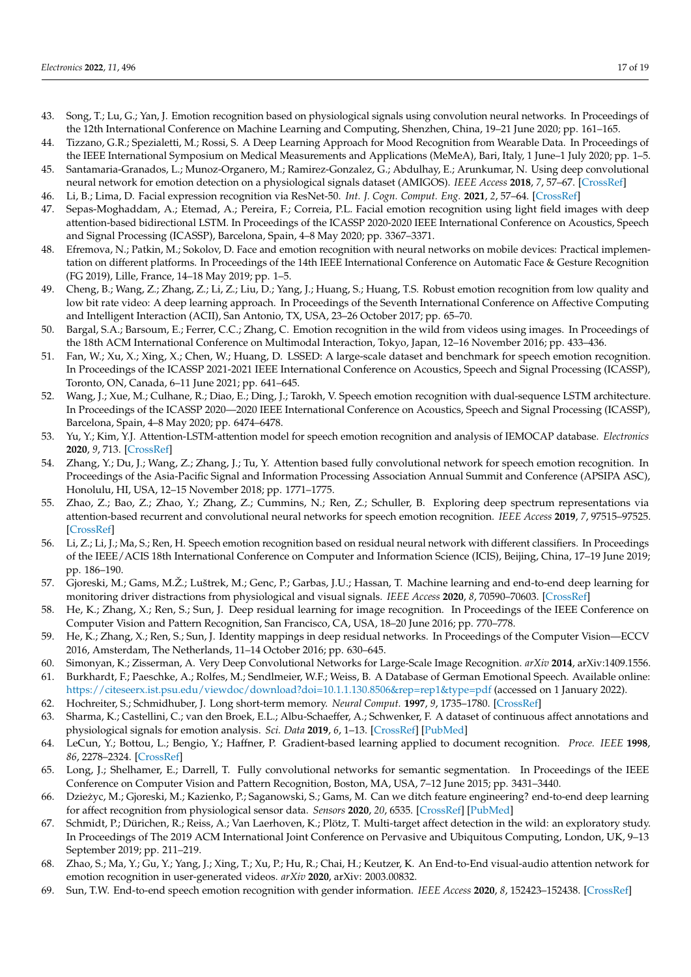- <span id="page-16-0"></span>43. Song, T.; Lu, G.; Yan, J. Emotion recognition based on physiological signals using convolution neural networks. In Proceedings of the 12th International Conference on Machine Learning and Computing, Shenzhen, China, 19–21 June 2020; pp. 161–165.
- <span id="page-16-1"></span>44. Tizzano, G.R.; Spezialetti, M.; Rossi, S. A Deep Learning Approach for Mood Recognition from Wearable Data. In Proceedings of the IEEE International Symposium on Medical Measurements and Applications (MeMeA), Bari, Italy, 1 June–1 July 2020; pp. 1–5.
- <span id="page-16-2"></span>45. Santamaria-Granados, L.; Munoz-Organero, M.; Ramirez-Gonzalez, G.; Abdulhay, E.; Arunkumar, N. Using deep convolutional neural network for emotion detection on a physiological signals dataset (AMIGOS). *IEEE Access* **2018**, *7*, 57–67. [\[CrossRef\]](http://dx.doi.org/10.1109/ACCESS.2018.2883213)
- <span id="page-16-3"></span>46. Li, B.; Lima, D. Facial expression recognition via ResNet-50. *Int. J. Cogn. Comput. Eng.* **2021**, *2*, 57–64. [\[CrossRef\]](http://dx.doi.org/10.1016/j.ijcce.2021.02.002)
- <span id="page-16-4"></span>47. Sepas-Moghaddam, A.; Etemad, A.; Pereira, F.; Correia, P.L. Facial emotion recognition using light field images with deep attention-based bidirectional LSTM. In Proceedings of the ICASSP 2020-2020 IEEE International Conference on Acoustics, Speech and Signal Processing (ICASSP), Barcelona, Spain, 4–8 May 2020; pp. 3367–3371.
- <span id="page-16-5"></span>48. Efremova, N.; Patkin, M.; Sokolov, D. Face and emotion recognition with neural networks on mobile devices: Practical implementation on different platforms. In Proceedings of the 14th IEEE International Conference on Automatic Face & Gesture Recognition (FG 2019), Lille, France, 14–18 May 2019; pp. 1–5.
- <span id="page-16-6"></span>49. Cheng, B.; Wang, Z.; Zhang, Z.; Li, Z.; Liu, D.; Yang, J.; Huang, S.; Huang, T.S. Robust emotion recognition from low quality and low bit rate video: A deep learning approach. In Proceedings of the Seventh International Conference on Affective Computing and Intelligent Interaction (ACII), San Antonio, TX, USA, 23–26 October 2017; pp. 65–70.
- <span id="page-16-7"></span>50. Bargal, S.A.; Barsoum, E.; Ferrer, C.C.; Zhang, C. Emotion recognition in the wild from videos using images. In Proceedings of the 18th ACM International Conference on Multimodal Interaction, Tokyo, Japan, 12–16 November 2016; pp. 433–436.
- <span id="page-16-8"></span>51. Fan, W.; Xu, X.; Xing, X.; Chen, W.; Huang, D. LSSED: A large-scale dataset and benchmark for speech emotion recognition. In Proceedings of the ICASSP 2021-2021 IEEE International Conference on Acoustics, Speech and Signal Processing (ICASSP), Toronto, ON, Canada, 6–11 June 2021; pp. 641–645.
- <span id="page-16-9"></span>52. Wang, J.; Xue, M.; Culhane, R.; Diao, E.; Ding, J.; Tarokh, V. Speech emotion recognition with dual-sequence LSTM architecture. In Proceedings of the ICASSP 2020—2020 IEEE International Conference on Acoustics, Speech and Signal Processing (ICASSP), Barcelona, Spain, 4–8 May 2020; pp. 6474–6478.
- <span id="page-16-10"></span>53. Yu, Y.; Kim, Y.J. Attention-LSTM-attention model for speech emotion recognition and analysis of IEMOCAP database. *Electronics* **2020**, *9*, 713. [\[CrossRef\]](http://dx.doi.org/10.3390/electronics9050713)
- <span id="page-16-11"></span>54. Zhang, Y.; Du, J.; Wang, Z.; Zhang, J.; Tu, Y. Attention based fully convolutional network for speech emotion recognition. In Proceedings of the Asia-Pacific Signal and Information Processing Association Annual Summit and Conference (APSIPA ASC), Honolulu, HI, USA, 12–15 November 2018; pp. 1771–1775.
- <span id="page-16-12"></span>55. Zhao, Z.; Bao, Z.; Zhao, Y.; Zhang, Z.; Cummins, N.; Ren, Z.; Schuller, B. Exploring deep spectrum representations via attention-based recurrent and convolutional neural networks for speech emotion recognition. *IEEE Access* **2019**, *7*, 97515–97525. [\[CrossRef\]](http://dx.doi.org/10.1109/ACCESS.2019.2928625)
- <span id="page-16-13"></span>56. Li, Z.; Li, J.; Ma, S.; Ren, H. Speech emotion recognition based on residual neural network with different classifiers. In Proceedings of the IEEE/ACIS 18th International Conference on Computer and Information Science (ICIS), Beijing, China, 17–19 June 2019; pp. 186–190.
- <span id="page-16-14"></span>57. Gjoreski, M.; Gams, M.Ž.; Luštrek, M.; Genc, P.; Garbas, J.U.; Hassan, T. Machine learning and end-to-end deep learning for monitoring driver distractions from physiological and visual signals. *IEEE Access* **2020**, *8*, 70590–70603. [\[CrossRef\]](http://dx.doi.org/10.1109/ACCESS.2020.2986810)
- <span id="page-16-15"></span>58. He, K.; Zhang, X.; Ren, S.; Sun, J. Deep residual learning for image recognition. In Proceedings of the IEEE Conference on Computer Vision and Pattern Recognition, San Francisco, CA, USA, 18–20 June 2016; pp. 770–778.
- <span id="page-16-16"></span>59. He, K.; Zhang, X.; Ren, S.; Sun, J. Identity mappings in deep residual networks. In Proceedings of the Computer Vision—ECCV 2016, Amsterdam, The Netherlands, 11–14 October 2016; pp. 630–645.
- <span id="page-16-17"></span>60. Simonyan, K.; Zisserman, A. Very Deep Convolutional Networks for Large-Scale Image Recognition. *arXiv* **2014**, arXiv:1409.1556.
- <span id="page-16-18"></span>61. Burkhardt, F.; Paeschke, A.; Rolfes, M.; Sendlmeier, W.F.; Weiss, B. A Database of German Emotional Speech. Available online: <https://citeseerx.ist.psu.edu/viewdoc/download?doi=10.1.1.130.8506&rep=rep1&type=pdf> (accessed on 1 January 2022).
- <span id="page-16-19"></span>62. Hochreiter, S.; Schmidhuber, J. Long short-term memory. *Neural Comput.* **1997**, *9*, 1735–1780. [\[CrossRef\]](http://dx.doi.org/10.1162/neco.1997.9.8.1735)
- <span id="page-16-20"></span>63. Sharma, K.; Castellini, C.; van den Broek, E.L.; Albu-Schaeffer, A.; Schwenker, F. A dataset of continuous affect annotations and physiological signals for emotion analysis. *Sci. Data* **2019**, *6*, 1–13. [\[CrossRef\]](http://dx.doi.org/10.1038/s41597-019-0209-0) [\[PubMed\]](http://www.ncbi.nlm.nih.gov/pubmed/31597919)
- <span id="page-16-21"></span>64. LeCun, Y.; Bottou, L.; Bengio, Y.; Haffner, P. Gradient-based learning applied to document recognition. *Proce. IEEE* **1998**, *86*, 2278–2324. [\[CrossRef\]](http://dx.doi.org/10.1109/5.726791)
- <span id="page-16-22"></span>65. Long, J.; Shelhamer, E.; Darrell, T. Fully convolutional networks for semantic segmentation. In Proceedings of the IEEE Conference on Computer Vision and Pattern Recognition, Boston, MA, USA, 7–12 June 2015; pp. 3431–3440.
- <span id="page-16-23"></span>66. Dziezyc, M.; Gjoreski, M.; Kazienko, P.; Saganowski, S.; Gams, M. Can we ditch feature engineering? end-to-end deep learning ˙ for affect recognition from physiological sensor data. *Sensors* **2020**, *20*, 6535. [\[CrossRef\]](http://dx.doi.org/10.3390/s20226535) [\[PubMed\]](http://www.ncbi.nlm.nih.gov/pubmed/33207564)
- <span id="page-16-24"></span>67. Schmidt, P.; Dürichen, R.; Reiss, A.; Van Laerhoven, K.; Plötz, T. Multi-target affect detection in the wild: an exploratory study. In Proceedings of The 2019 ACM International Joint Conference on Pervasive and Ubiquitous Computing, London, UK, 9–13 September 2019; pp. 211–219.
- <span id="page-16-25"></span>68. Zhao, S.; Ma, Y.; Gu, Y.; Yang, J.; Xing, T.; Xu, P.; Hu, R.; Chai, H.; Keutzer, K. An End-to-End visual-audio attention network for emotion recognition in user-generated videos. *arXiv* **2020**, arXiv: 2003.00832.
- <span id="page-16-26"></span>69. Sun, T.W. End-to-end speech emotion recognition with gender information. *IEEE Access* **2020**, *8*, 152423–152438. [\[CrossRef\]](http://dx.doi.org/10.1109/ACCESS.2020.3017462)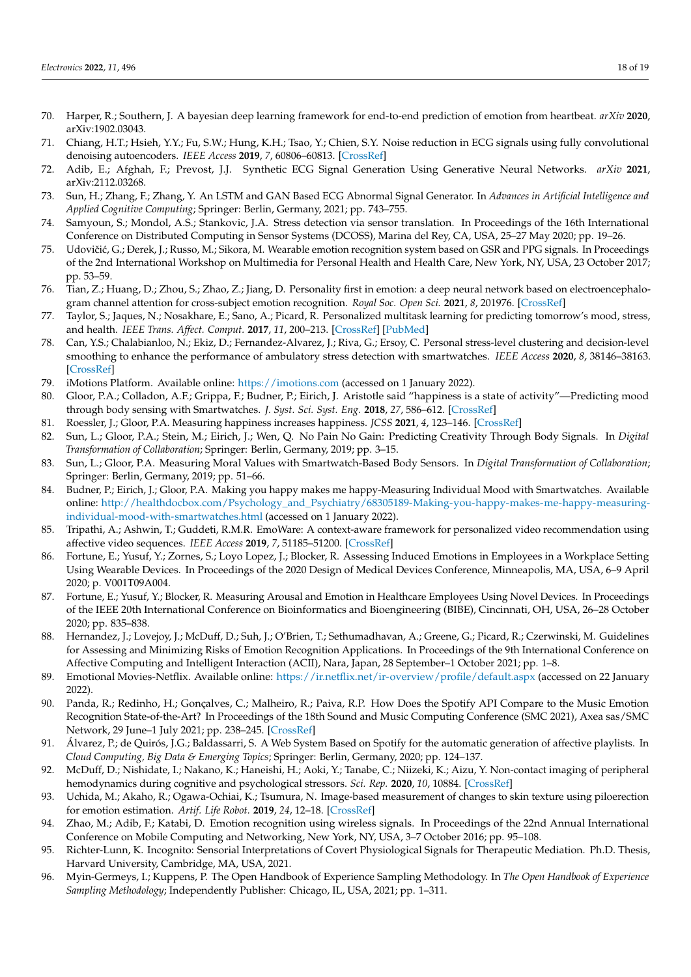- <span id="page-17-0"></span>70. Harper, R.; Southern, J. A bayesian deep learning framework for end-to-end prediction of emotion from heartbeat. *arXiv* **2020**, arXiv:1902.03043.
- <span id="page-17-1"></span>71. Chiang, H.T.; Hsieh, Y.Y.; Fu, S.W.; Hung, K.H.; Tsao, Y.; Chien, S.Y. Noise reduction in ECG signals using fully convolutional denoising autoencoders. *IEEE Access* **2019**, *7*, 60806–60813. [\[CrossRef\]](http://dx.doi.org/10.1109/ACCESS.2019.2912036)
- <span id="page-17-2"></span>72. Adib, E.; Afghah, F.; Prevost, J.J. Synthetic ECG Signal Generation Using Generative Neural Networks. *arXiv* **2021**, arXiv:2112.03268.
- <span id="page-17-3"></span>73. Sun, H.; Zhang, F.; Zhang, Y. An LSTM and GAN Based ECG Abnormal Signal Generator. In *Advances in Artificial Intelligence and Applied Cognitive Computing*; Springer: Berlin, Germany, 2021; pp. 743–755.
- <span id="page-17-4"></span>74. Samyoun, S.; Mondol, A.S.; Stankovic, J.A. Stress detection via sensor translation. In Proceedings of the 16th International Conference on Distributed Computing in Sensor Systems (DCOSS), Marina del Rey, CA, USA, 25–27 May 2020; pp. 19–26.
- <span id="page-17-5"></span>75. Udovičić, G.; Đerek, J.; Russo, M.; Sikora, M. Wearable emotion recognition system based on GSR and PPG signals. In Proceedings of the 2nd International Workshop on Multimedia for Personal Health and Health Care, New York, NY, USA, 23 October 2017; pp. 53–59.
- <span id="page-17-6"></span>76. Tian, Z.; Huang, D.; Zhou, S.; Zhao, Z.; Jiang, D. Personality first in emotion: a deep neural network based on electroencephalogram channel attention for cross-subject emotion recognition. *Royal Soc. Open Sci.* **2021**, *8*, 201976. [\[CrossRef\]](http://dx.doi.org/10.1098/rsos.201976)
- <span id="page-17-7"></span>77. Taylor, S.; Jaques, N.; Nosakhare, E.; Sano, A.; Picard, R. Personalized multitask learning for predicting tomorrow's mood, stress, and health. *IEEE Trans. Affect. Comput.* **2017**, *11*, 200–213. [\[CrossRef\]](http://dx.doi.org/10.1109/TAFFC.2017.2784832) [\[PubMed\]](http://www.ncbi.nlm.nih.gov/pubmed/32489521)
- <span id="page-17-8"></span>78. Can, Y.S.; Chalabianloo, N.; Ekiz, D.; Fernandez-Alvarez, J.; Riva, G.; Ersoy, C. Personal stress-level clustering and decision-level smoothing to enhance the performance of ambulatory stress detection with smartwatches. *IEEE Access* **2020**, *8*, 38146–38163. [\[CrossRef\]](http://dx.doi.org/10.1109/ACCESS.2020.2975351)
- <span id="page-17-9"></span>79. iMotions Platform. Available online: <https://imotions.com> (accessed on 1 January 2022).
- <span id="page-17-10"></span>80. Gloor, P.A.; Colladon, A.F.; Grippa, F.; Budner, P.; Eirich, J. Aristotle said "happiness is a state of activity"—Predicting mood through body sensing with Smartwatches. *J. Syst. Sci. Syst. Eng.* **2018**, *27*, 586–612. [\[CrossRef\]](http://dx.doi.org/10.1007/s11518-018-5383-7)
- <span id="page-17-11"></span>81. Roessler, J.; Gloor, P.A. Measuring happiness increases happiness. *JCSS* **2021**, *4*, 123–146. [\[CrossRef\]](http://dx.doi.org/10.1007/s42001-020-00069-6)
- <span id="page-17-12"></span>82. Sun, L.; Gloor, P.A.; Stein, M.; Eirich, J.; Wen, Q. No Pain No Gain: Predicting Creativity Through Body Signals. In *Digital Transformation of Collaboration*; Springer: Berlin, Germany, 2019; pp. 3–15.
- <span id="page-17-13"></span>83. Sun, L.; Gloor, P.A. Measuring Moral Values with Smartwatch-Based Body Sensors. In *Digital Transformation of Collaboration*; Springer: Berlin, Germany, 2019; pp. 51–66.
- <span id="page-17-14"></span>84. Budner, P.; Eirich, J.; Gloor, P.A. Making you happy makes me happy-Measuring Individual Mood with Smartwatches. Available online: [http://healthdocbox.com/Psychology\\_and\\_Psychiatry/68305189-Making-you-happy-makes-me-happy-measuring](http://healthdocbox.com/Psychology_and_Psychiatry/68305189-Making-you-happy-makes-me-happy-measuring-individual-mood-with-smartwatches.html)[individual-mood-with-smartwatches.html](http://healthdocbox.com/Psychology_and_Psychiatry/68305189-Making-you-happy-makes-me-happy-measuring-individual-mood-with-smartwatches.html) (accessed on 1 January 2022).
- <span id="page-17-15"></span>85. Tripathi, A.; Ashwin, T.; Guddeti, R.M.R. EmoWare: A context-aware framework for personalized video recommendation using affective video sequences. *IEEE Access* **2019**, *7*, 51185–51200. [\[CrossRef\]](http://dx.doi.org/10.1109/ACCESS.2019.2911235)
- <span id="page-17-16"></span>86. Fortune, E.; Yusuf, Y.; Zornes, S.; Loyo Lopez, J.; Blocker, R. Assessing Induced Emotions in Employees in a Workplace Setting Using Wearable Devices. In Proceedings of the 2020 Design of Medical Devices Conference, Minneapolis, MA, USA, 6–9 April 2020; p. V001T09A004.
- <span id="page-17-17"></span>87. Fortune, E.; Yusuf, Y.; Blocker, R. Measuring Arousal and Emotion in Healthcare Employees Using Novel Devices. In Proceedings of the IEEE 20th International Conference on Bioinformatics and Bioengineering (BIBE), Cincinnati, OH, USA, 26–28 October 2020; pp. 835–838.
- <span id="page-17-18"></span>88. Hernandez, J.; Lovejoy, J.; McDuff, D.; Suh, J.; O'Brien, T.; Sethumadhavan, A.; Greene, G.; Picard, R.; Czerwinski, M. Guidelines for Assessing and Minimizing Risks of Emotion Recognition Applications. In Proceedings of the 9th International Conference on Affective Computing and Intelligent Interaction (ACII), Nara, Japan, 28 September–1 October 2021; pp. 1–8.
- <span id="page-17-19"></span>89. Emotional Movies-Netflix. Available online: <https://ir.netflix.net/ir-overview/profile/default.aspx> (accessed on 22 January 2022).
- <span id="page-17-20"></span>90. Panda, R.; Redinho, H.; Gonçalves, C.; Malheiro, R.; Paiva, R.P. How Does the Spotify API Compare to the Music Emotion Recognition State-of-the-Art? In Proceedings of the 18th Sound and Music Computing Conference (SMC 2021), Axea sas/SMC Network, 29 June–1 July 2021; pp. 238–245. [\[CrossRef\]](http://dx.doi.org/10.5281/zenodo.5045100)
- <span id="page-17-21"></span>91. Álvarez, P.; de Quirós, J.G.; Baldassarri, S. A Web System Based on Spotify for the automatic generation of affective playlists. In *Cloud Computing, Big Data & Emerging Topics*; Springer: Berlin, Germany, 2020; pp. 124–137.
- <span id="page-17-22"></span>92. McDuff, D.; Nishidate, I.; Nakano, K.; Haneishi, H.; Aoki, Y.; Tanabe, C.; Niizeki, K.; Aizu, Y. Non-contact imaging of peripheral hemodynamics during cognitive and psychological stressors. *Sci. Rep.* **2020**, *10*, 10884. [\[CrossRef\]](http://dx.doi.org/10.1038/s41598-020-67647-6)
- <span id="page-17-23"></span>93. Uchida, M.; Akaho, R.; Ogawa-Ochiai, K.; Tsumura, N. Image-based measurement of changes to skin texture using piloerection for emotion estimation. *Artif. Life Robot.* **2019**, *24*, 12–18. [\[CrossRef\]](http://dx.doi.org/10.1007/s10015-018-0435-0)
- <span id="page-17-24"></span>94. Zhao, M.; Adib, F.; Katabi, D. Emotion recognition using wireless signals. In Proceedings of the 22nd Annual International Conference on Mobile Computing and Networking, New York, NY, USA, 3–7 October 2016; pp. 95–108.
- <span id="page-17-25"></span>95. Richter-Lunn, K. Incognito: Sensorial Interpretations of Covert Physiological Signals for Therapeutic Mediation. Ph.D. Thesis, Harvard University, Cambridge, MA, USA, 2021.
- <span id="page-17-26"></span>96. Myin-Germeys, I.; Kuppens, P. The Open Handbook of Experience Sampling Methodology. In *The Open Handbook of Experience Sampling Methodology*; Independently Publisher: Chicago, IL, USA, 2021; pp. 1–311.